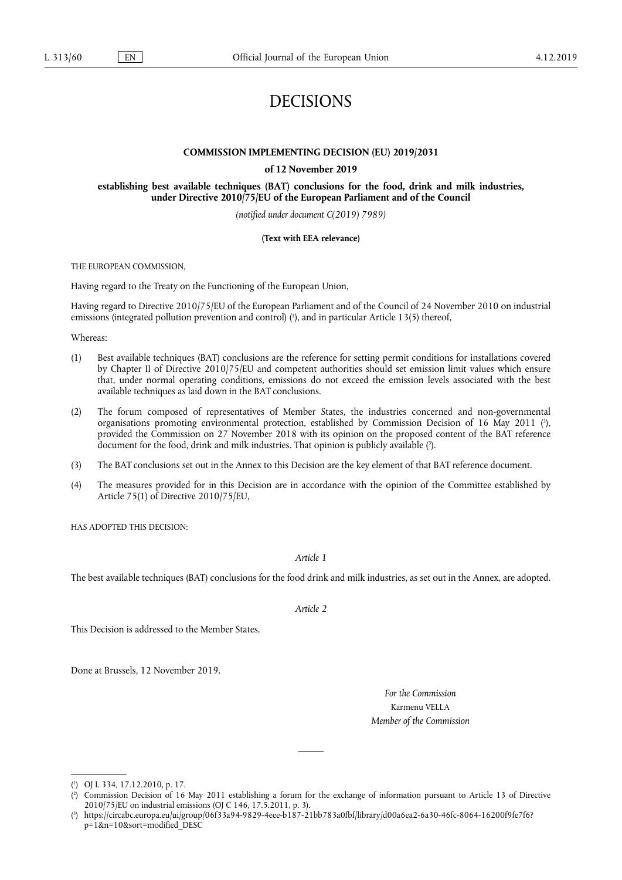# DECISIONS

#### **COMMISSION IMPLEMENTING DECISION (EU) 2019/2031**

#### **of 12 November 2019**

**establishing best available techniques (BAT) conclusions for the food, drink and milk industries, under Directive 2010/75/EU of the European Parliament and of the Council** 

*(notified under document C(2019) 7989)* 

#### **(Text with EEA relevance)**

THE EUROPEAN COMMISSION,

Having regard to the Treaty on the Functioning of the European Union,

Having regard to Directive 2010/75/EU of the European Parliament and of the Council of 24 November 2010 on industrial emissions (integrated pollution prevention and control) ( 1 ), and in particular Article 13(5) thereof,

Whereas:

- (1) Best available techniques (BAT) conclusions are the reference for setting permit conditions for installations covered by Chapter II of Directive 2010/75/EU and competent authorities should set emission limit values which ensure that, under normal operating conditions, emissions do not exceed the emission levels associated with the best available techniques as laid down in the BAT conclusions.
- (2) The forum composed of representatives of Member States, the industries concerned and non-governmental organisations promoting environmental protection, established by Commission Decision of 16 May 2011 ( 2 ), provided the Commission on 27 November 2018 with its opinion on the proposed content of the BAT reference document for the food, drink and milk industries. That opinion is publicly available ( 3 ).
- (3) The BAT conclusions set out in the Annex to this Decision are the key element of that BAT reference document.
- (4) The measures provided for in this Decision are in accordance with the opinion of the Committee established by Article 75(1) of Directive 2010/75/EU,

HAS ADOPTED THIS DECISION:

*Article 1* 

The best available techniques (BAT) conclusions for the food drink and milk industries, as set out in the Annex, are adopted.

*Article 2* 

This Decision is addressed to the Member States.

Done at Brussels, 12 November 2019.

*For the Commission*  Karmenu VELLA *Member of the Commission* 

<sup>(</sup> 1 ) OJ L 334, 17.12.2010, p. 17.

<sup>(</sup> 2 ) Commission Decision of 16 May 2011 establishing a forum for the exchange of information pursuant to Article 13 of Directive 2010/75/EU on industrial emissions (OJ C 146, 17.5.2011, p. 3).

<sup>(</sup> 3 ) https://circabc.europa.eu/ui/group/06f33a94-9829-4eee-b187-21bb783a0fbf/library/d00a6ea2-6a30-46fc-8064-16200f9fe7f6? p=1&n=10&sort=modified\_DESC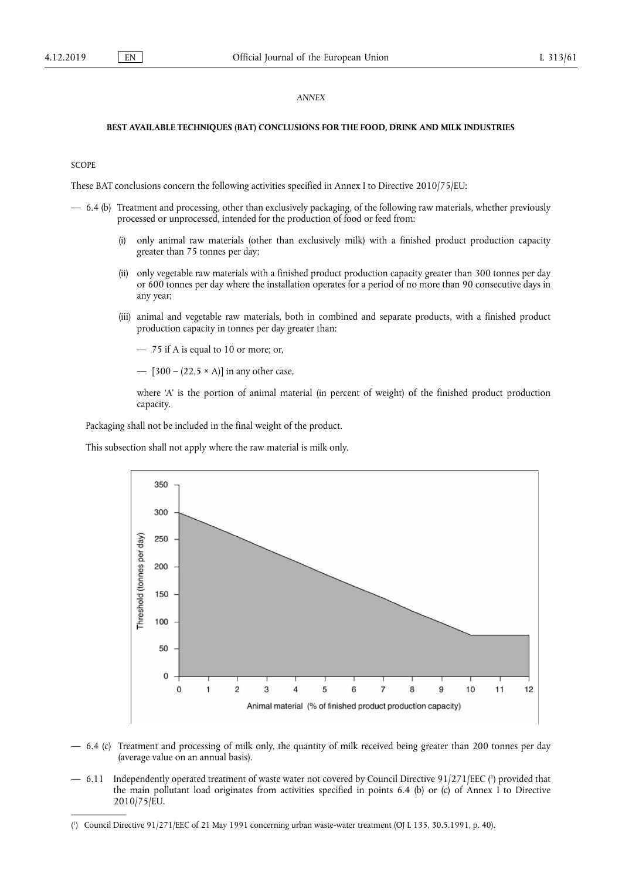#### *ANNEX*

#### **BEST AVAILABLE TECHNIQUES (BAT) CONCLUSIONS FOR THE FOOD, DRINK AND MILK INDUSTRIES**

#### **SCOPE**

These BAT conclusions concern the following activities specified in Annex I to Directive 2010/75/EU:

- 6.4 (b) Treatment and processing, other than exclusively packaging, of the following raw materials, whether previously processed or unprocessed, intended for the production of food or feed from:
	- (i) only animal raw materials (other than exclusively milk) with a finished product production capacity greater than 75 tonnes per day;
	- (ii) only vegetable raw materials with a finished product production capacity greater than 300 tonnes per day or 600 tonnes per day where the installation operates for a period of no more than 90 consecutive days in any year;
	- (iii) animal and vegetable raw materials, both in combined and separate products, with a finished product production capacity in tonnes per day greater than:
		- 75 if A is equal to 10 or more; or,
		- $[300 (22.5 \times A)]$  in any other case,

where 'A' is the portion of animal material (in percent of weight) of the finished product production capacity.

Packaging shall not be included in the final weight of the product.

This subsection shall not apply where the raw material is milk only.



- 6.4 (c) Treatment and processing of milk only, the quantity of milk received being greater than 200 tonnes per day (average value on an annual basis).
- 6.11 Independently operated treatment of waste water not covered by Council Directive 91/271/EEC ( 1 ) provided that the main pollutant load originates from activities specified in points 6.4 (b) or (c) of Annex I to Directive 2010/75/EU.

<sup>(</sup> 1 ) Council Directive 91/271/EEC of 21 May 1991 concerning urban waste-water treatment (OJ L 135, 30.5.1991, p. 40).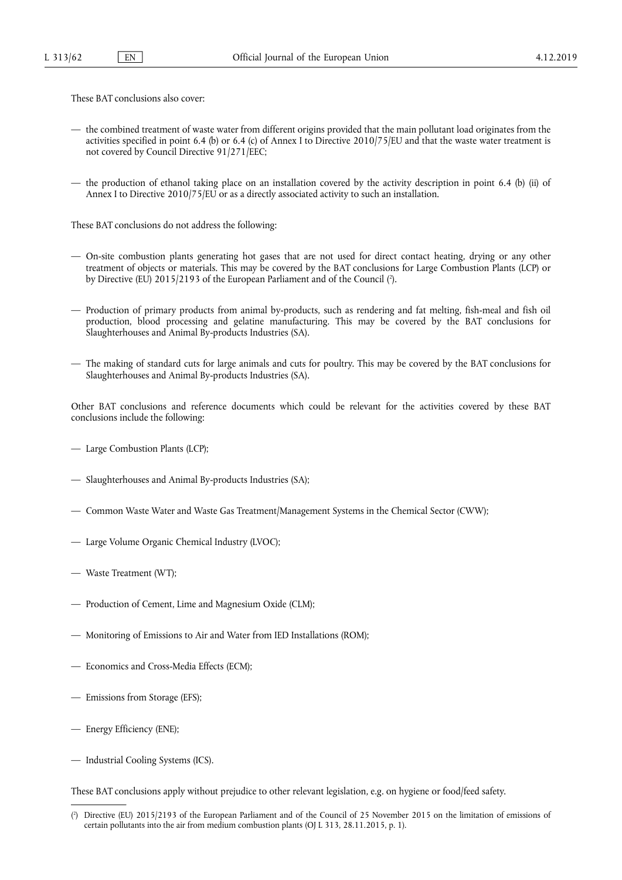These BAT conclusions also cover:

- the combined treatment of waste water from different origins provided that the main pollutant load originates from the activities specified in point 6.4 (b) or 6.4 (c) of Annex I to Directive  $2010/75/EU$  and that the waste water treatment is not covered by Council Directive 91/271/EEC;
- the production of ethanol taking place on an installation covered by the activity description in point 6.4 (b) (ii) of Annex I to Directive 2010/75/EU or as a directly associated activity to such an installation.

These BAT conclusions do not address the following:

- On-site combustion plants generating hot gases that are not used for direct contact heating, drying or any other treatment of objects or materials. This may be covered by the BAT conclusions for Large Combustion Plants (LCP) or by Directive (EU) 2015/2193 of the European Parliament and of the Council (?).
- Production of primary products from animal by-products, such as rendering and fat melting, fish-meal and fish oil production, blood processing and gelatine manufacturing. This may be covered by the BAT conclusions for Slaughterhouses and Animal By-products Industries (SA).
- The making of standard cuts for large animals and cuts for poultry. This may be covered by the BAT conclusions for Slaughterhouses and Animal By-products Industries (SA).

Other BAT conclusions and reference documents which could be relevant for the activities covered by these BAT conclusions include the following:

- Large Combustion Plants (LCP);
- Slaughterhouses and Animal By-products Industries (SA);
- Common Waste Water and Waste Gas Treatment/Management Systems in the Chemical Sector (CWW);
- Large Volume Organic Chemical Industry (LVOC);
- Waste Treatment (WT);
- Production of Cement, Lime and Magnesium Oxide (CLM);
- Monitoring of Emissions to Air and Water from IED Installations (ROM);
- Economics and Cross-Media Effects (ECM);
- Emissions from Storage (EFS);
- Energy Efficiency (ENE);
- Industrial Cooling Systems (ICS).

These BAT conclusions apply without prejudice to other relevant legislation, e.g. on hygiene or food/feed safety.

<sup>(</sup> 2 ) Directive (EU) 2015/2193 of the European Parliament and of the Council of 25 November 2015 on the limitation of emissions of certain pollutants into the air from medium combustion plants (OJ L 313, 28.11.2015, p. 1).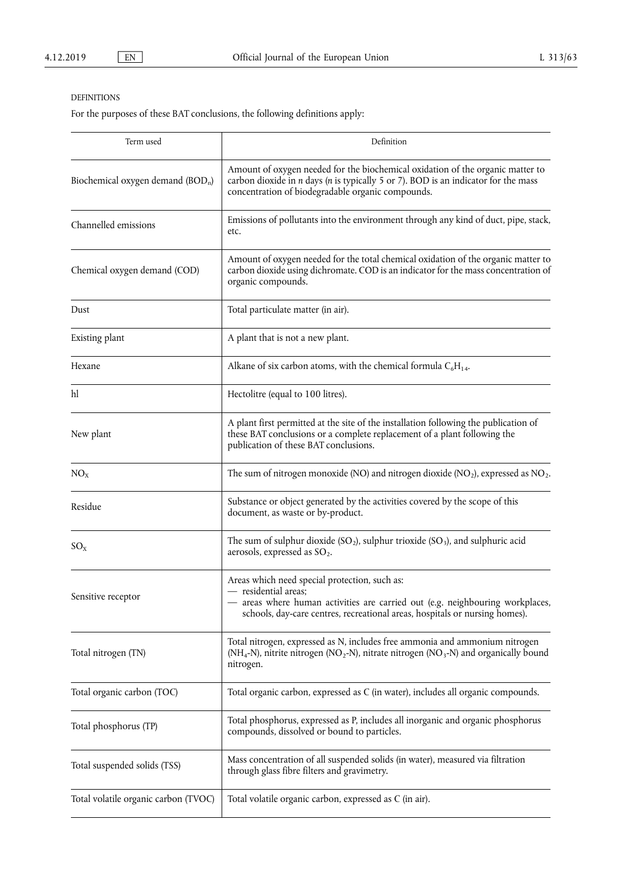## DEFINITIONS

For the purposes of these BAT conclusions, the following definitions apply:

| Term used                                     | Definition                                                                                                                                                                                                                            |
|-----------------------------------------------|---------------------------------------------------------------------------------------------------------------------------------------------------------------------------------------------------------------------------------------|
| Biochemical oxygen demand (BOD <sub>n</sub> ) | Amount of oxygen needed for the biochemical oxidation of the organic matter to<br>carbon dioxide in $n$ days ( $n$ is typically 5 or 7). BOD is an indicator for the mass<br>concentration of biodegradable organic compounds.        |
| Channelled emissions                          | Emissions of pollutants into the environment through any kind of duct, pipe, stack,<br>etc.                                                                                                                                           |
| Chemical oxygen demand (COD)                  | Amount of oxygen needed for the total chemical oxidation of the organic matter to<br>carbon dioxide using dichromate. COD is an indicator for the mass concentration of<br>organic compounds.                                         |
| Dust                                          | Total particulate matter (in air).                                                                                                                                                                                                    |
| Existing plant                                | A plant that is not a new plant.                                                                                                                                                                                                      |
| Hexane                                        | Alkane of six carbon atoms, with the chemical formula $C_6H_{14}$ .                                                                                                                                                                   |
| hl                                            | Hectolitre (equal to 100 litres).                                                                                                                                                                                                     |
| New plant                                     | A plant first permitted at the site of the installation following the publication of<br>these BAT conclusions or a complete replacement of a plant following the<br>publication of these BAT conclusions.                             |
| NO <sub>x</sub>                               | The sum of nitrogen monoxide (NO) and nitrogen dioxide (NO <sub>2</sub> ), expressed as NO <sub>2</sub> .                                                                                                                             |
| Residue                                       | Substance or object generated by the activities covered by the scope of this<br>document, as waste or by-product.                                                                                                                     |
| $SO_{X}$                                      | The sum of sulphur dioxide $(SO_2)$ , sulphur trioxide $(SO_3)$ , and sulphuric acid<br>aerosols, expressed as $SO_2$ .                                                                                                               |
| Sensitive receptor                            | Areas which need special protection, such as:<br>- residential areas;<br>- areas where human activities are carried out (e.g. neighbouring workplaces,<br>schools, day-care centres, recreational areas, hospitals or nursing homes). |
| Total nitrogen (TN)                           | Total nitrogen, expressed as N, includes free ammonia and ammonium nitrogen<br>(NH <sub>4</sub> -N), nitrite nitrogen (NO <sub>2</sub> -N), nitrate nitrogen (NO <sub>3</sub> -N) and organically bound<br>nitrogen.                  |
| Total organic carbon (TOC)                    | Total organic carbon, expressed as C (in water), includes all organic compounds.                                                                                                                                                      |
| Total phosphorus (TP)                         | Total phosphorus, expressed as P, includes all inorganic and organic phosphorus<br>compounds, dissolved or bound to particles.                                                                                                        |
| Total suspended solids (TSS)                  | Mass concentration of all suspended solids (in water), measured via filtration<br>through glass fibre filters and gravimetry.                                                                                                         |
| Total volatile organic carbon (TVOC)          | Total volatile organic carbon, expressed as C (in air).                                                                                                                                                                               |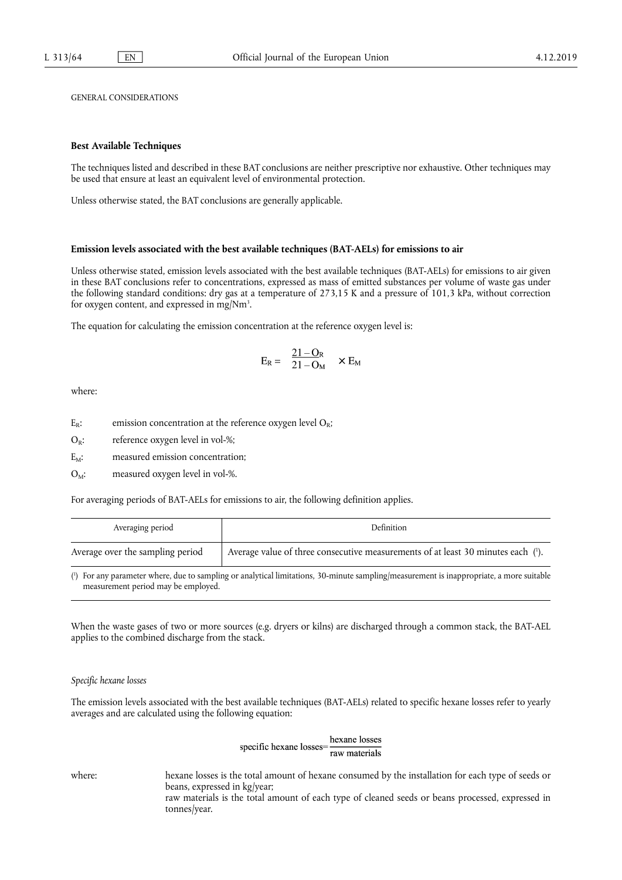GENERAL CONSIDERATIONS

#### **Best Available Techniques**

The techniques listed and described in these BAT conclusions are neither prescriptive nor exhaustive. Other techniques may be used that ensure at least an equivalent level of environmental protection.

Unless otherwise stated, the BAT conclusions are generally applicable.

#### **Emission levels associated with the best available techniques (BAT-AELs) for emissions to air**

Unless otherwise stated, emission levels associated with the best available techniques (BAT-AELs) for emissions to air given in these BAT conclusions refer to concentrations, expressed as mass of emitted substances per volume of waste gas under the following standard conditions: dry gas at a temperature of 273,15 K and a pressure of 101,3 kPa, without correction for oxygen content, and expressed in mg/Nm<sup>3</sup>.

The equation for calculating the emission concentration at the reference oxygen level is:

$$
E_R = \frac{21 - O_R}{21 - O_M} \times E_M
$$

where:

 $O_R$ : reference oxygen level in vol-%;

 $E_M$ : measured emission concentration;

 $O_M$ : measured oxygen level in vol-%.

For averaging periods of BAT-AELs for emissions to air, the following definition applies.

| Averaging period                 | Definition                                                                       |
|----------------------------------|----------------------------------------------------------------------------------|
| Average over the sampling period | Average value of three consecutive measurements of at least 30 minutes each (1). |

( 1 ) For any parameter where, due to sampling or analytical limitations, 30-minute sampling/measurement is inappropriate, a more suitable measurement period may be employed.

When the waste gases of two or more sources (e.g. dryers or kilns) are discharged through a common stack, the BAT-AEL applies to the combined discharge from the stack.

#### *Specific hexane losses*

The emission levels associated with the best available techniques (BAT-AELs) related to specific hexane losses refer to yearly averages and are calculated using the following equation:

> hexane losses specific hexane lossesraw materials

where: hexane losses is the total amount of hexane consumed by the installation for each type of seeds or beans, expressed in kg/year; raw materials is the total amount of each type of cleaned seeds or beans processed, expressed in tonnes/year.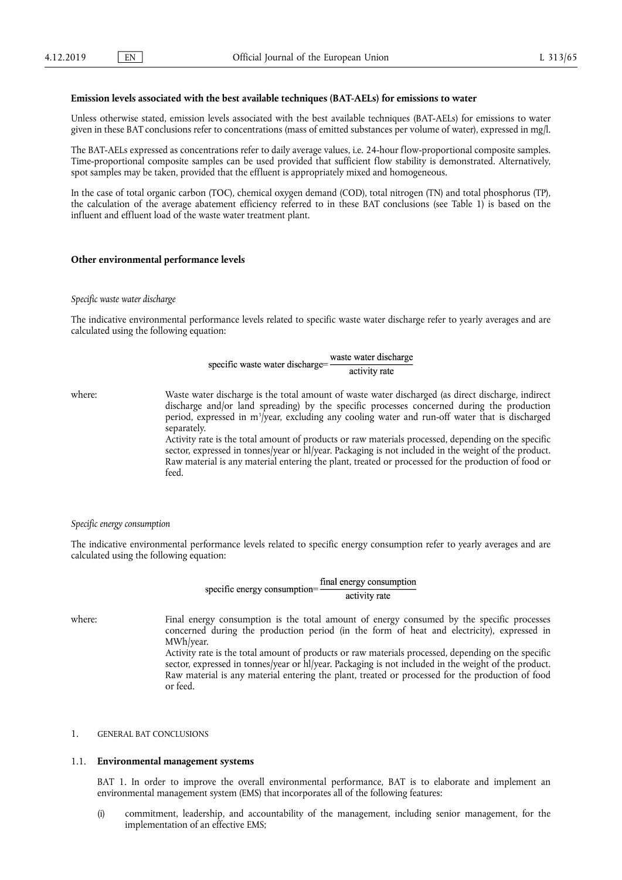#### **Emission levels associated with the best available techniques (BAT-AELs) for emissions to water**

Unless otherwise stated, emission levels associated with the best available techniques (BAT-AELs) for emissions to water given in these BAT conclusions refer to concentrations (mass of emitted substances per volume of water), expressed in mg/l.

The BAT-AELs expressed as concentrations refer to daily average values, i.e. 24-hour flow-proportional composite samples. Time-proportional composite samples can be used provided that sufficient flow stability is demonstrated. Alternatively, spot samples may be taken, provided that the effluent is appropriately mixed and homogeneous.

In the case of total organic carbon (TOC), chemical oxygen demand (COD), total nitrogen (TN) and total phosphorus (TP), the calculation of the average abatement efficiency referred to in these BAT conclusions (see Table 1) is based on the influent and effluent load of the waste water treatment plant.

#### **Other environmental performance levels**

#### *Specific waste water discharge*

The indicative environmental performance levels related to specific waste water discharge refer to yearly averages and are calculated using the following equation:

#### waste water discharge specific waste water discharge=activity rate

where: Waste water discharge is the total amount of waste water discharged (as direct discharge, indirect discharge and/or land spreading) by the specific processes concerned during the production period, expressed in m<sup>3</sup>/year, excluding any cooling water and run-off water that is discharged separately.

Activity rate is the total amount of products or raw materials processed, depending on the specific sector, expressed in tonnes/year or hl/year. Packaging is not included in the weight of the product. Raw material is any material entering the plant, treated or processed for the production of food or feed.

#### *Specific energy consumption*

The indicative environmental performance levels related to specific energy consumption refer to yearly averages and are calculated using the following equation:

> final energy consumption specific energy consumption= activity rate

where: Final energy consumption is the total amount of energy consumed by the specific processes concerned during the production period (in the form of heat and electricity), expressed in MWh/year.

Activity rate is the total amount of products or raw materials processed, depending on the specific sector, expressed in tonnes/year or hl/year. Packaging is not included in the weight of the product. Raw material is any material entering the plant, treated or processed for the production of food or feed.

#### 1. GENERAL BAT CONCLUSIONS

#### 1.1. **Environmental management systems**

BAT 1. In order to improve the overall environmental performance, BAT is to elaborate and implement an environmental management system (EMS) that incorporates all of the following features:

(i) commitment, leadership, and accountability of the management, including senior management, for the implementation of an effective EMS;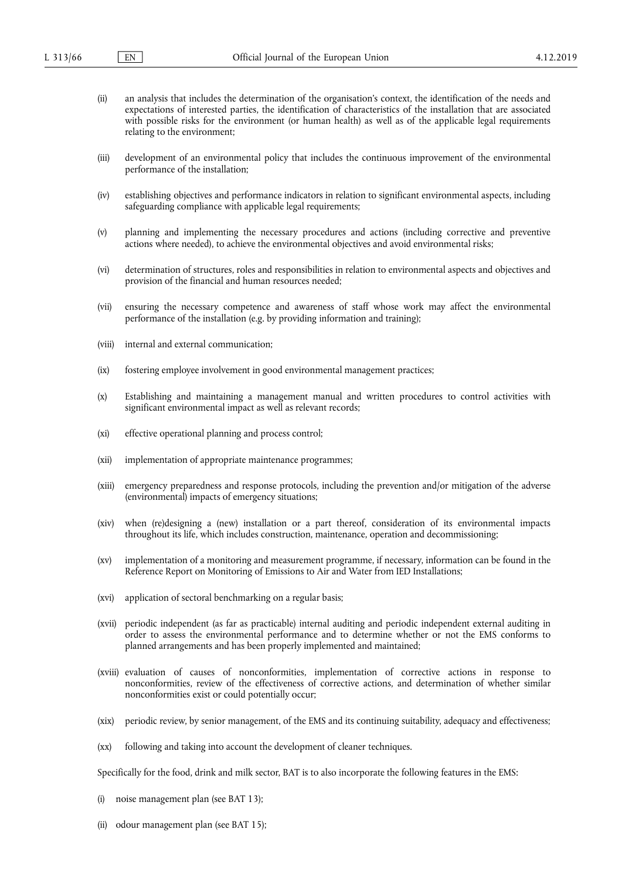- (ii) an analysis that includes the determination of the organisation's context, the identification of the needs and expectations of interested parties, the identification of characteristics of the installation that are associated with possible risks for the environment (or human health) as well as of the applicable legal requirements relating to the environment;
- (iii) development of an environmental policy that includes the continuous improvement of the environmental performance of the installation;
- (iv) establishing objectives and performance indicators in relation to significant environmental aspects, including safeguarding compliance with applicable legal requirements;
- (v) planning and implementing the necessary procedures and actions (including corrective and preventive actions where needed), to achieve the environmental objectives and avoid environmental risks;
- (vi) determination of structures, roles and responsibilities in relation to environmental aspects and objectives and provision of the financial and human resources needed;
- (vii) ensuring the necessary competence and awareness of staff whose work may affect the environmental performance of the installation (e.g. by providing information and training);
- (viii) internal and external communication;
- (ix) fostering employee involvement in good environmental management practices;
- (x) Establishing and maintaining a management manual and written procedures to control activities with significant environmental impact as well as relevant records:
- (xi) effective operational planning and process control;
- (xii) implementation of appropriate maintenance programmes;
- (xiii) emergency preparedness and response protocols, including the prevention and/or mitigation of the adverse (environmental) impacts of emergency situations;
- (xiv) when (re)designing a (new) installation or a part thereof, consideration of its environmental impacts throughout its life, which includes construction, maintenance, operation and decommissioning;
- (xv) implementation of a monitoring and measurement programme, if necessary, information can be found in the Reference Report on Monitoring of Emissions to Air and Water from IED Installations;
- (xvi) application of sectoral benchmarking on a regular basis;
- (xvii) periodic independent (as far as practicable) internal auditing and periodic independent external auditing in order to assess the environmental performance and to determine whether or not the EMS conforms to planned arrangements and has been properly implemented and maintained;
- (xviii) evaluation of causes of nonconformities, implementation of corrective actions in response to nonconformities, review of the effectiveness of corrective actions, and determination of whether similar nonconformities exist or could potentially occur;
- (xix) periodic review, by senior management, of the EMS and its continuing suitability, adequacy and effectiveness;
- (xx) following and taking into account the development of cleaner techniques.

Specifically for the food, drink and milk sector, BAT is to also incorporate the following features in the EMS:

- (i) noise management plan (see BAT 13);
- (ii) odour management plan (see BAT 15);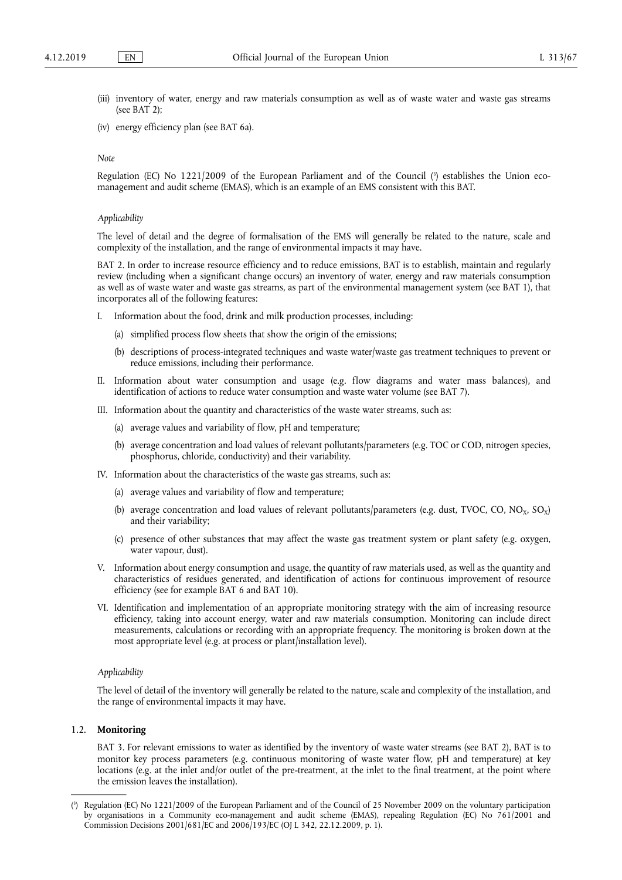- (iii) inventory of water, energy and raw materials consumption as well as of waste water and waste gas streams (see BAT 2);
- (iv) energy efficiency plan (see BAT 6a).

#### *Note*

Regulation (EC) No 1221/2009 of the European Parliament and of the Council ( 3 ) establishes the Union ecomanagement and audit scheme (EMAS), which is an example of an EMS consistent with this BAT.

#### *Applicability*

The level of detail and the degree of formalisation of the EMS will generally be related to the nature, scale and complexity of the installation, and the range of environmental impacts it may have.

BAT 2. In order to increase resource efficiency and to reduce emissions, BAT is to establish, maintain and regularly review (including when a significant change occurs) an inventory of water, energy and raw materials consumption as well as of waste water and waste gas streams, as part of the environmental management system (see BAT 1), that incorporates all of the following features:

- I. Information about the food, drink and milk production processes, including:
	- (a) simplified process flow sheets that show the origin of the emissions;
	- (b) descriptions of process-integrated techniques and waste water/waste gas treatment techniques to prevent or reduce emissions, including their performance.
- II. Information about water consumption and usage (e.g. flow diagrams and water mass balances), and identification of actions to reduce water consumption and waste water volume (see BAT 7).
- III. Information about the quantity and characteristics of the waste water streams, such as:
	- (a) average values and variability of flow, pH and temperature;
	- (b) average concentration and load values of relevant pollutants/parameters (e.g. TOC or COD, nitrogen species, phosphorus, chloride, conductivity) and their variability.
- IV. Information about the characteristics of the waste gas streams, such as:
	- (a) average values and variability of flow and temperature;
	- (b) average concentration and load values of relevant pollutants/parameters (e.g. dust, TVOC, CO, NO<sub>x</sub>, SO<sub>x</sub>) and their variability;
	- (c) presence of other substances that may affect the waste gas treatment system or plant safety (e.g. oxygen, water vapour, dust).
- V. Information about energy consumption and usage, the quantity of raw materials used, as well as the quantity and characteristics of residues generated, and identification of actions for continuous improvement of resource efficiency (see for example BAT 6 and BAT 10).
- VI. Identification and implementation of an appropriate monitoring strategy with the aim of increasing resource efficiency, taking into account energy, water and raw materials consumption. Monitoring can include direct measurements, calculations or recording with an appropriate frequency. The monitoring is broken down at the most appropriate level (e.g. at process or plant/installation level).

#### *Applicability*

The level of detail of the inventory will generally be related to the nature, scale and complexity of the installation, and the range of environmental impacts it may have.

#### 1.2. **Monitoring**

BAT 3. For relevant emissions to water as identified by the inventory of waste water streams (see BAT 2), BAT is to monitor key process parameters (e.g. continuous monitoring of waste water flow, pH and temperature) at key locations (e.g. at the inlet and/or outlet of the pre-treatment, at the inlet to the final treatment, at the point where the emission leaves the installation).

<sup>(</sup> 3 ) Regulation (EC) No 1221/2009 of the European Parliament and of the Council of 25 November 2009 on the voluntary participation by organisations in a Community eco-management and audit scheme (EMAS), repealing Regulation (EC) No 761/2001 and Commission Decisions 2001/681/EC and 2006/193/EC (OJ L 342, 22.12.2009, p. 1).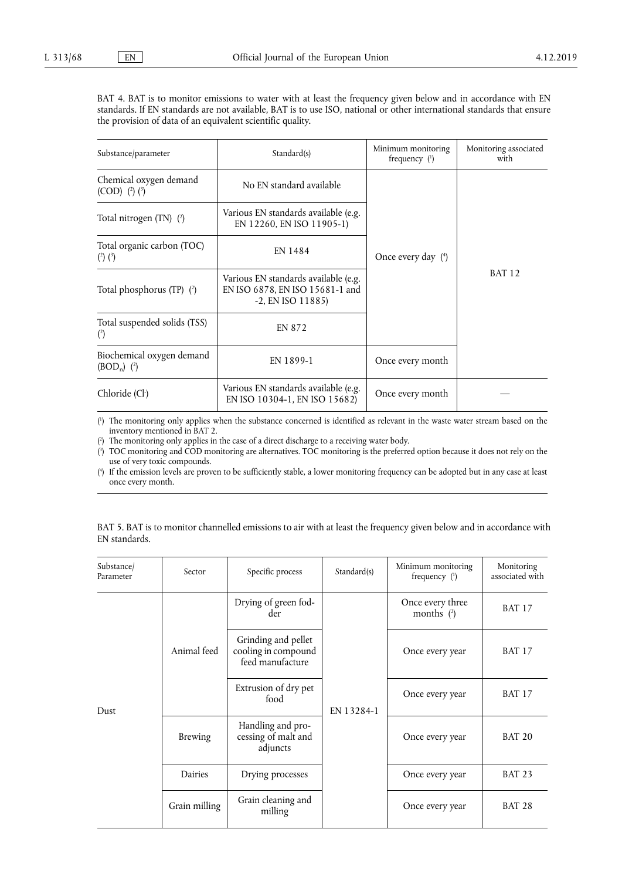BAT 4. BAT is to monitor emissions to water with at least the frequency given below and in accordance with EN standards. If EN standards are not available, BAT is to use ISO, national or other international standards that ensure the provision of data of an equivalent scientific quality.

| Substance/parameter                             | Standard(s)                                                                                     |                  | Monitoring associated<br>with |
|-------------------------------------------------|-------------------------------------------------------------------------------------------------|------------------|-------------------------------|
| Chemical oxygen demand<br>$(COD)$ $(2)$ $(3)$   | No EN standard available                                                                        |                  |                               |
| Total nitrogen (TN) (2)                         | Various EN standards available (e.g.<br>EN 12260, EN ISO 11905-1)                               |                  |                               |
| Total organic carbon (TOC)<br>$(^{2})$ $(^{3})$ | EN 1484<br>Once every day $(4)$                                                                 |                  |                               |
| Total phosphorus (TP) $(2)$                     | Various EN standards available (e.g.<br>EN ISO 6878, EN ISO 15681-1 and<br>$-2$ , EN ISO 11885) |                  | <b>BAT 12</b>                 |
| Total suspended solids (TSS)<br>$\binom{2}{ }$  | <b>EN 872</b>                                                                                   |                  |                               |
| Biochemical oxygen demand<br>$(BOD_n)$ (2)      | EN 1899-1                                                                                       | Once every month |                               |
| Chloride (Cl <sup>-</sup> )                     | Various EN standards available (e.g.<br>EN ISO 10304-1, EN ISO 15682)                           | Once every month |                               |

( 1 ) The monitoring only applies when the substance concerned is identified as relevant in the waste water stream based on the inventory mentioned in BAT 2.

( 2 ) The monitoring only applies in the case of a direct discharge to a receiving water body.

( 3 ) TOC monitoring and COD monitoring are alternatives. TOC monitoring is the preferred option because it does not rely on the use of very toxic compounds.

( 4 ) If the emission levels are proven to be sufficiently stable, a lower monitoring frequency can be adopted but in any case at least once every month.

| Substance/<br>Parameter | Sector         | Specific process                                                                                                                                                                                    | Standard(s) | Minimum monitoring<br>frequency $(1)$ | Monitoring<br>associated with |
|-------------------------|----------------|-----------------------------------------------------------------------------------------------------------------------------------------------------------------------------------------------------|-------------|---------------------------------------|-------------------------------|
|                         |                | Drying of green fod-<br>der<br>Grinding and pellet<br>cooling in compound<br>feed manufacture<br>Extrusion of dry pet<br>food<br>EN 13284-1<br>Handling and pro-<br>cessing of malt and<br>adjuncts |             | Once every three<br>months $(2)$      | <b>BAT 17</b>                 |
|                         | Animal feed    |                                                                                                                                                                                                     |             | Once every year                       | <b>BAT 17</b>                 |
| Dust                    |                |                                                                                                                                                                                                     |             | Once every year                       | <b>BAT 17</b>                 |
|                         | <b>Brewing</b> |                                                                                                                                                                                                     |             | Once every year                       | <b>BAT 20</b>                 |
|                         | Dairies        | Drying processes                                                                                                                                                                                    |             | Once every year                       | <b>BAT 23</b>                 |
|                         | Grain milling  | Grain cleaning and<br>milling                                                                                                                                                                       |             | Once every year                       | <b>BAT 28</b>                 |

BAT 5. BAT is to monitor channelled emissions to air with at least the frequency given below and in accordance with EN standards.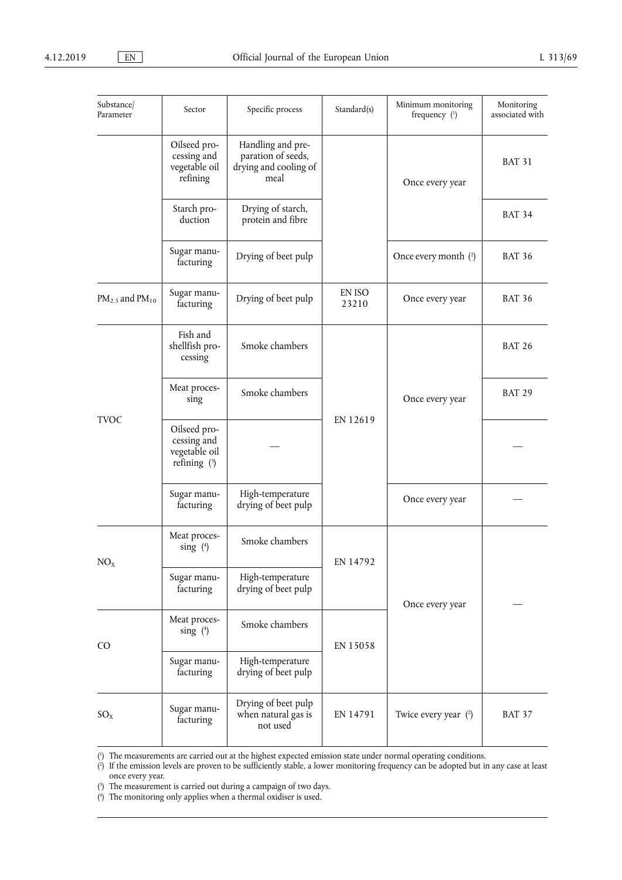| Substance/<br>Parameter  | Sector                                                         | Specific process                                                         | Standard(s)                 | Minimum monitoring<br>frequency (1) | Monitoring<br>associated with |
|--------------------------|----------------------------------------------------------------|--------------------------------------------------------------------------|-----------------------------|-------------------------------------|-------------------------------|
|                          | Oilseed pro-<br>cessing and<br>vegetable oil<br>refining       | Handling and pre-<br>paration of seeds,<br>drying and cooling of<br>meal |                             | Once every year                     | <b>BAT 31</b>                 |
|                          | Starch pro-<br>duction                                         | Drying of starch,<br>protein and fibre                                   |                             |                                     | <b>BAT 34</b>                 |
|                          | Sugar manu-<br>facturing                                       | Drying of beet pulp                                                      |                             | Once every month (2)                | <b>BAT 36</b>                 |
| $PM_{2.5}$ and $PM_{10}$ | Sugar manu-<br>facturing                                       | Drying of beet pulp                                                      | EN ISO<br>23210             | Once every year                     | <b>BAT 36</b>                 |
|                          | Fish and<br>shellfish pro-<br>cessing                          | Smoke chambers                                                           | Once every year<br>EN 12619 |                                     | <b>BAT 26</b>                 |
| <b>TVOC</b>              | Meat proces-<br>sing                                           | Smoke chambers                                                           |                             |                                     | <b>BAT 29</b>                 |
|                          | Oilseed pro-<br>cessing and<br>vegetable oil<br>refining $(3)$ |                                                                          |                             |                                     |                               |
|                          | Sugar manu-<br>facturing                                       | High-temperature<br>drying of beet pulp                                  |                             | Once every year                     |                               |
| NO <sub>x</sub>          | Meat proces-<br>$sing$ (4)                                     | Smoke chambers                                                           | EN 14792                    |                                     |                               |
|                          | Sugar manu-<br>facturing                                       | High-temperature<br>drying of beet pulp                                  | Once every year             |                                     |                               |
| C <sub>O</sub>           | Meat proces-<br>sing $(4)$                                     | Smoke chambers                                                           | EN 15058                    |                                     |                               |
|                          | Sugar manu-<br>facturing                                       | High-temperature<br>drying of beet pulp                                  |                             |                                     |                               |
| $SO_{X}$                 | Sugar manu-<br>facturing                                       | Drying of beet pulp<br>when natural gas is<br>not used                   | EN 14791                    | Twice every year $(2)$              | <b>BAT 37</b>                 |

( 1 ) The measurements are carried out at the highest expected emission state under normal operating conditions.

( 2 ) If the emission levels are proven to be sufficiently stable, a lower monitoring frequency can be adopted but in any case at least once every year.

( 3 ) The measurement is carried out during a campaign of two days.

( 4 ) The monitoring only applies when a thermal oxidiser is used.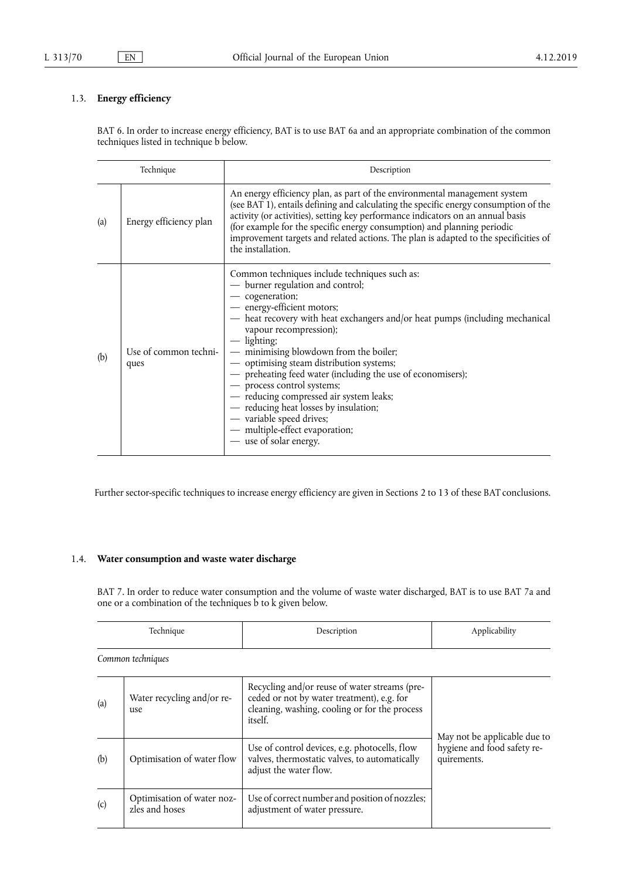## 1.3. **Energy efficiency**

BAT 6. In order to increase energy efficiency, BAT is to use BAT 6a and an appropriate combination of the common techniques listed in technique b below.

| Technique |                               | Description                                                                                                                                                                                                                                                                                                                                                                                                                                                                                                                                                                                                                  |  |
|-----------|-------------------------------|------------------------------------------------------------------------------------------------------------------------------------------------------------------------------------------------------------------------------------------------------------------------------------------------------------------------------------------------------------------------------------------------------------------------------------------------------------------------------------------------------------------------------------------------------------------------------------------------------------------------------|--|
| (a)       | Energy efficiency plan        | An energy efficiency plan, as part of the environmental management system<br>(see BAT 1), entails defining and calculating the specific energy consumption of the<br>activity (or activities), setting key performance indicators on an annual basis<br>(for example for the specific energy consumption) and planning periodic<br>improvement targets and related actions. The plan is adapted to the specificities of<br>the installation.                                                                                                                                                                                 |  |
| (b)       | Use of common techni-<br>ques | Common techniques include techniques such as:<br>- burner regulation and control;<br>- cogeneration;<br>- energy-efficient motors;<br>- heat recovery with heat exchangers and/or heat pumps (including mechanical<br>vapour recompression);<br>$-$ lighting;<br>- minimising blowdown from the boiler;<br>- optimising steam distribution systems;<br>- preheating feed water (including the use of economisers);<br>- process control systems;<br>- reducing compressed air system leaks;<br>- reducing heat losses by insulation;<br>- variable speed drives;<br>- multiple-effect evaporation;<br>— use of solar energy. |  |

Further sector-specific techniques to increase energy efficiency are given in Sections 2 to 13 of these BAT conclusions.

## 1.4. **Water consumption and waste water discharge**

BAT 7. In order to reduce water consumption and the volume of waste water discharged, BAT is to use BAT 7a and one or a combination of the techniques  $\overrightarrow{b}$  to k given below.

|     | Technique                                    | Description                                                                                                                                             | Applicability                                                              |
|-----|----------------------------------------------|---------------------------------------------------------------------------------------------------------------------------------------------------------|----------------------------------------------------------------------------|
|     | Common techniques                            |                                                                                                                                                         |                                                                            |
| (a) | Water recycling and/or re-<br>use            | Recycling and/or reuse of water streams (pre-<br>ceded or not by water treatment), e.g. for<br>cleaning, washing, cooling or for the process<br>itself. |                                                                            |
| (b) | Optimisation of water flow                   | Use of control devices, e.g. photocells, flow<br>valves, thermostatic valves, to automatically<br>adjust the water flow.                                | May not be applicable due to<br>hygiene and food safety re-<br>quirements. |
| (c) | Optimisation of water noz-<br>zles and hoses | Use of correct number and position of nozzles;<br>adjustment of water pressure.                                                                         |                                                                            |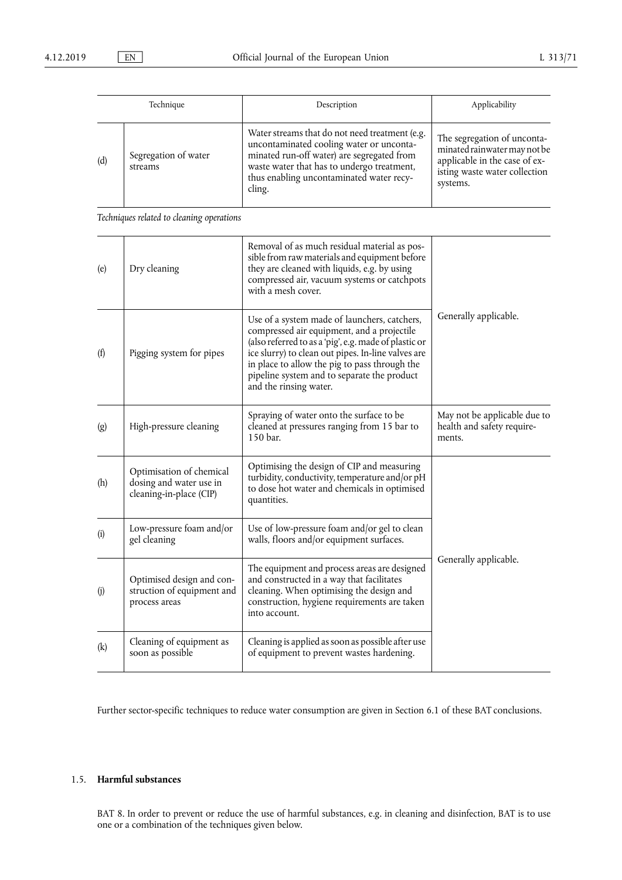|     | Technique                       | Description                                                                                                                                                                                                                                  | Applicability                                                                                                                             |
|-----|---------------------------------|----------------------------------------------------------------------------------------------------------------------------------------------------------------------------------------------------------------------------------------------|-------------------------------------------------------------------------------------------------------------------------------------------|
| (d) | Segregation of water<br>streams | Water streams that do not need treatment (e.g.<br>uncontaminated cooling water or unconta-<br>minated run-off water) are segregated from<br>waste water that has to undergo treatment,<br>thus enabling uncontaminated water recy-<br>cling. | The segregation of unconta-<br>minated rainwater may not be<br>applicable in the case of ex-<br>isting waste water collection<br>systems. |

*Techniques related to cleaning operations* 

| (e)                | Dry cleaning                                                                   | Removal of as much residual material as pos-<br>sible from raw materials and equipment before<br>they are cleaned with liquids, e.g. by using<br>compressed air, vacuum systems or catchpots<br>with a mesh cover.                                                                                                                  |                                                                      |  |
|--------------------|--------------------------------------------------------------------------------|-------------------------------------------------------------------------------------------------------------------------------------------------------------------------------------------------------------------------------------------------------------------------------------------------------------------------------------|----------------------------------------------------------------------|--|
| (f)                | Pigging system for pipes                                                       | Use of a system made of launchers, catchers,<br>compressed air equipment, and a projectile<br>(also referred to as a 'pig', e.g. made of plastic or<br>ice slurry) to clean out pipes. In-line valves are<br>in place to allow the pig to pass through the<br>pipeline system and to separate the product<br>and the rinsing water. | Generally applicable.                                                |  |
| $\left( g \right)$ | High-pressure cleaning                                                         | Spraying of water onto the surface to be<br>cleaned at pressures ranging from 15 bar to<br>150 bar.                                                                                                                                                                                                                                 | May not be applicable due to<br>health and safety require-<br>ments. |  |
| (h)                | Optimisation of chemical<br>dosing and water use in<br>cleaning-in-place (CIP) | Optimising the design of CIP and measuring<br>turbidity, conductivity, temperature and/or pH<br>to dose hot water and chemicals in optimised<br>quantities.                                                                                                                                                                         |                                                                      |  |
| (i)                | Low-pressure foam and/or<br>gel cleaning                                       | Use of low-pressure foam and/or gel to clean<br>walls, floors and/or equipment surfaces.                                                                                                                                                                                                                                            |                                                                      |  |
| (j)                | Optimised design and con-<br>struction of equipment and<br>process areas       | The equipment and process areas are designed<br>and constructed in a way that facilitates<br>cleaning. When optimising the design and<br>construction, hygiene requirements are taken<br>into account.                                                                                                                              | Generally applicable.                                                |  |
| (k)                | Cleaning of equipment as<br>soon as possible                                   | Cleaning is applied as soon as possible after use<br>of equipment to prevent wastes hardening.                                                                                                                                                                                                                                      |                                                                      |  |

Further sector-specific techniques to reduce water consumption are given in Section 6.1 of these BAT conclusions.

## 1.5. **Harmful substances**

BAT 8. In order to prevent or reduce the use of harmful substances, e.g. in cleaning and disinfection, BAT is to use one or a combination of the techniques given below.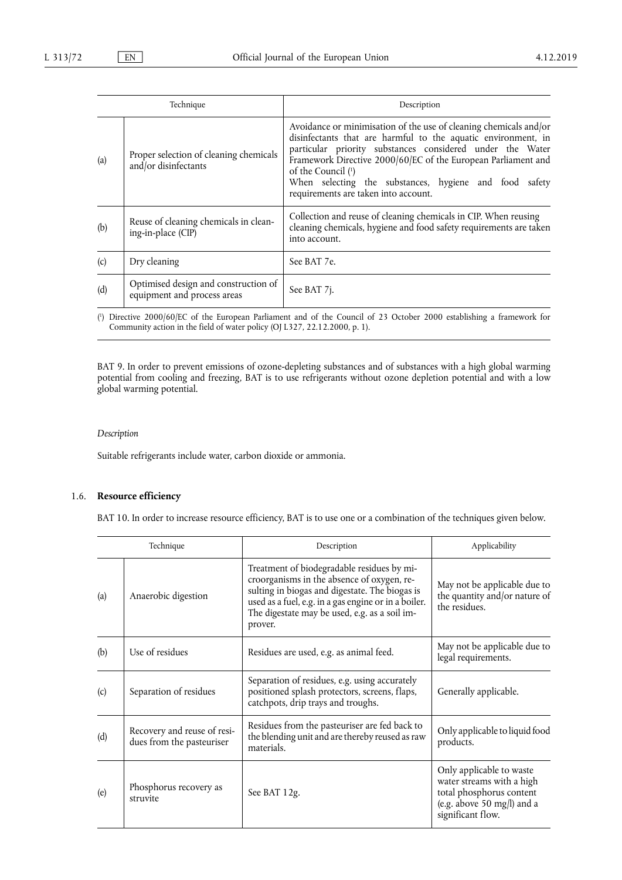| Technique |                                                                     | Description                                                                                                                                                                                                                                                                                                                                                                              |
|-----------|---------------------------------------------------------------------|------------------------------------------------------------------------------------------------------------------------------------------------------------------------------------------------------------------------------------------------------------------------------------------------------------------------------------------------------------------------------------------|
| (a)       | Proper selection of cleaning chemicals<br>and/or disinfectants      | Avoidance or minimisation of the use of cleaning chemicals and/or<br>disinfectants that are harmful to the aquatic environment, in<br>particular priority substances considered under the Water<br>Framework Directive 2000/60/EC of the European Parliament and<br>of the Council (1)<br>When selecting the substances, hygiene and food safety<br>requirements are taken into account. |
| (b)       | Reuse of cleaning chemicals in clean-<br>ing-in-place (CIP)         | Collection and reuse of cleaning chemicals in CIP. When reusing<br>cleaning chemicals, hygiene and food safety requirements are taken<br>into account.                                                                                                                                                                                                                                   |
| (c)       | Dry cleaning                                                        | See BAT 7e.                                                                                                                                                                                                                                                                                                                                                                              |
| (d)       | Optimised design and construction of<br>equipment and process areas | See BAT 7 <i>j</i> .                                                                                                                                                                                                                                                                                                                                                                     |

( 1 ) Directive 2000/60/EC of the European Parliament and of the Council of 23 October 2000 establishing a framework for Community action in the field of water policy (OJ L327, 22.12.2000, p. 1).

BAT 9. In order to prevent emissions of ozone-depleting substances and of substances with a high global warming potential from cooling and freezing, BAT is to use refrigerants without ozone depletion potential and with a low global warming potential.

### *Description*

Suitable refrigerants include water, carbon dioxide or ammonia.

### 1.6. **Resource efficiency**

BAT 10. In order to increase resource efficiency, BAT is to use one or a combination of the techniques given below.

| Technique |                                                          | Description                                                                                                                                                                                                                                                    | Applicability                                                                                                                        |
|-----------|----------------------------------------------------------|----------------------------------------------------------------------------------------------------------------------------------------------------------------------------------------------------------------------------------------------------------------|--------------------------------------------------------------------------------------------------------------------------------------|
| (a)       | Anaerobic digestion                                      | Treatment of biodegradable residues by mi-<br>croorganisms in the absence of oxygen, re-<br>sulting in biogas and digestate. The biogas is<br>used as a fuel, e.g. in a gas engine or in a boiler.<br>The digestate may be used, e.g. as a soil im-<br>prover. | May not be applicable due to<br>the quantity and/or nature of<br>the residues.                                                       |
| (b)       | Use of residues                                          | Residues are used, e.g. as animal feed.                                                                                                                                                                                                                        | May not be applicable due to<br>legal requirements.                                                                                  |
| (c)       | Separation of residues                                   | Separation of residues, e.g. using accurately<br>positioned splash protectors, screens, flaps,<br>catchpots, drip trays and troughs.                                                                                                                           | Generally applicable.                                                                                                                |
| (d)       | Recovery and reuse of resi-<br>dues from the pasteuriser | Residues from the pasteuriser are fed back to<br>the blending unit and are thereby reused as raw<br>materials.                                                                                                                                                 | Only applicable to liquid food<br>products.                                                                                          |
| (e)       | Phosphorus recovery as<br>struvite                       | See BAT 12g.                                                                                                                                                                                                                                                   | Only applicable to waste<br>water streams with a high<br>total phosphorus content<br>(e.g. above 50 mg/l) and a<br>significant flow. |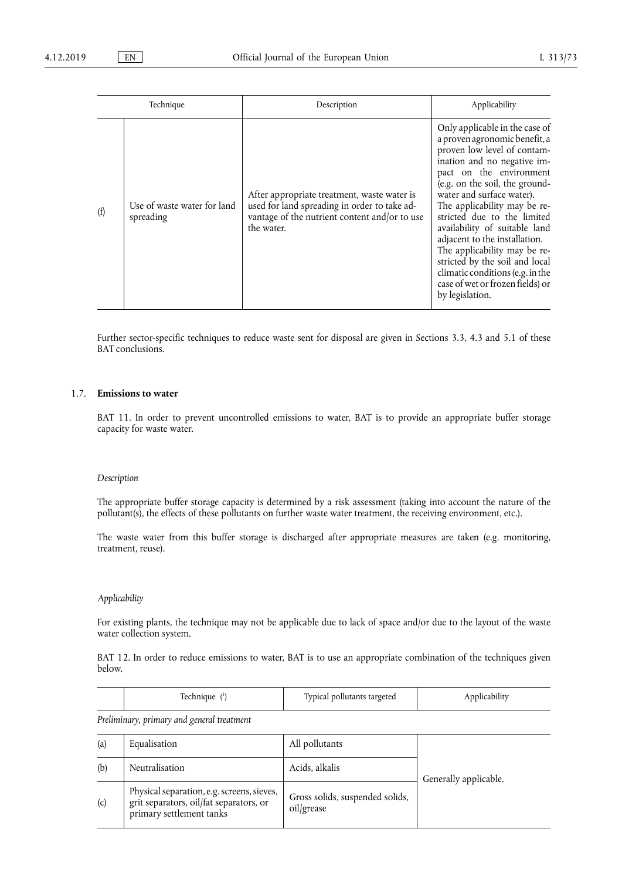|     | Technique                                | Description                                                                                                                                                | Applicability                                                                                                                                                                                                                                                                                                                                                                                                                                                                                                         |
|-----|------------------------------------------|------------------------------------------------------------------------------------------------------------------------------------------------------------|-----------------------------------------------------------------------------------------------------------------------------------------------------------------------------------------------------------------------------------------------------------------------------------------------------------------------------------------------------------------------------------------------------------------------------------------------------------------------------------------------------------------------|
| (f) | Use of waste water for land<br>spreading | After appropriate treatment, waste water is<br>used for land spreading in order to take ad-<br>vantage of the nutrient content and/or to use<br>the water. | Only applicable in the case of<br>a proven agronomic benefit, a<br>proven low level of contam-<br>ination and no negative im-<br>pact on the environment<br>(e.g. on the soil, the ground-<br>water and surface water).<br>The applicability may be re-<br>stricted due to the limited<br>availability of suitable land<br>adjacent to the installation.<br>The applicability may be re-<br>stricted by the soil and local<br>climatic conditions (e.g. in the<br>case of wet or frozen fields) or<br>by legislation. |

Further sector-specific techniques to reduce waste sent for disposal are given in Sections 3.3, 4.3 and 5.1 of these BAT conclusions.

### 1.7. **Emissions to water**

BAT 11. In order to prevent uncontrolled emissions to water, BAT is to provide an appropriate buffer storage capacity for waste water.

#### *Description*

The appropriate buffer storage capacity is determined by a risk assessment (taking into account the nature of the pollutant(s), the effects of these pollutants on further waste water treatment, the receiving environment, etc.).

The waste water from this buffer storage is discharged after appropriate measures are taken (e.g. monitoring, treatment, reuse).

#### *Applicability*

For existing plants, the technique may not be applicable due to lack of space and/or due to the layout of the waste water collection system.

BAT 12. In order to reduce emissions to water, BAT is to use an appropriate combination of the techniques given below.

|  | Fechnique | Typical pollutants targeted | plicability |
|--|-----------|-----------------------------|-------------|
|--|-----------|-----------------------------|-------------|

*Preliminary, primary and general treatment* 

| (a) | Equalisation                                                                                                      | All pollutants                                |                       |
|-----|-------------------------------------------------------------------------------------------------------------------|-----------------------------------------------|-----------------------|
| (b) | Neutralisation                                                                                                    | Acids, alkalis                                | Generally applicable. |
| (c) | Physical separation, e.g. screens, sieves,<br>grit separators, oil/fat separators, or<br>primary settlement tanks | Gross solids, suspended solids,<br>oil/grease |                       |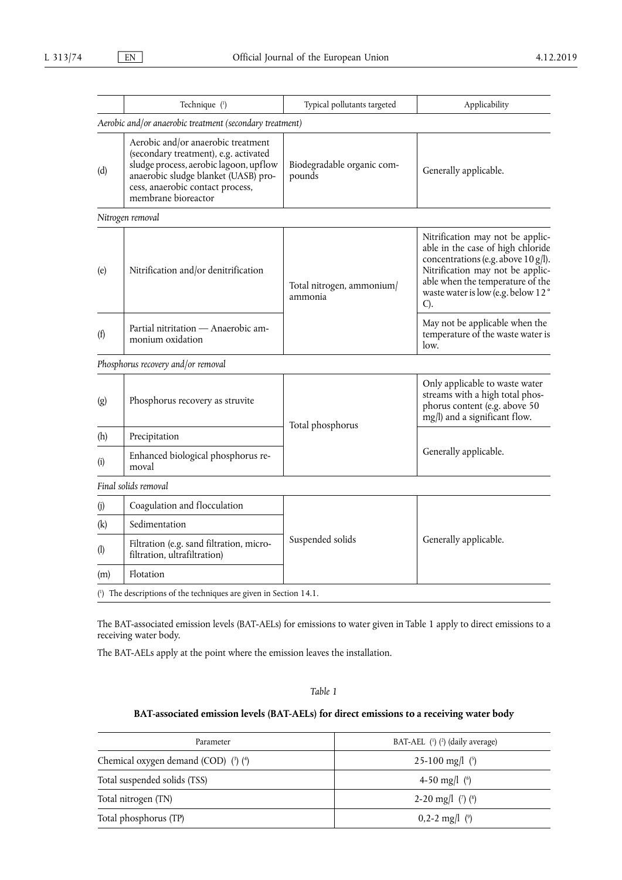|     | Technique (1)                                                                                                                                                                                                            | Typical pollutants targeted          | Applicability                                                                                                                                                                                                                        |
|-----|--------------------------------------------------------------------------------------------------------------------------------------------------------------------------------------------------------------------------|--------------------------------------|--------------------------------------------------------------------------------------------------------------------------------------------------------------------------------------------------------------------------------------|
|     | Aerobic and/or anaerobic treatment (secondary treatment)                                                                                                                                                                 |                                      |                                                                                                                                                                                                                                      |
| (d) | Aerobic and/or anaerobic treatment<br>(secondary treatment), e.g. activated<br>sludge process, aerobic lagoon, upflow<br>anaerobic sludge blanket (UASB) pro-<br>cess, anaerobic contact process,<br>membrane bioreactor | Biodegradable organic com-<br>pounds | Generally applicable.                                                                                                                                                                                                                |
|     | Nitrogen removal                                                                                                                                                                                                         |                                      |                                                                                                                                                                                                                                      |
| (e) | Nitrification and/or denitrification                                                                                                                                                                                     | Total nitrogen, ammonium/<br>ammonia | Nitrification may not be applic-<br>able in the case of high chloride<br>concentrations (e.g. above 10 g/l).<br>Nitrification may not be applic-<br>able when the temperature of the<br>waste water is low (e.g. below 12°<br>$C$ ). |
| (f) | Partial nitritation - Anaerobic am-<br>monium oxidation                                                                                                                                                                  |                                      | May not be applicable when the<br>temperature of the waste water is<br>low.                                                                                                                                                          |
|     | Phosphorus recovery and/or removal                                                                                                                                                                                       |                                      |                                                                                                                                                                                                                                      |
| (g) | Phosphorus recovery as struvite                                                                                                                                                                                          |                                      | Only applicable to waste water<br>streams with a high total phos-<br>phorus content (e.g. above 50<br>mg/l) and a significant flow.                                                                                                  |
| (h) | Precipitation                                                                                                                                                                                                            | Total phosphorus<br>Suspended solids |                                                                                                                                                                                                                                      |
| (i) | Enhanced biological phosphorus re-<br>moval                                                                                                                                                                              |                                      | Generally applicable.                                                                                                                                                                                                                |
|     | Final solids removal                                                                                                                                                                                                     |                                      |                                                                                                                                                                                                                                      |
| (j) | Coagulation and flocculation                                                                                                                                                                                             |                                      |                                                                                                                                                                                                                                      |
| (k) | Sedimentation                                                                                                                                                                                                            |                                      |                                                                                                                                                                                                                                      |
| (1) | Filtration (e.g. sand filtration, micro-<br>filtration, ultrafiltration)                                                                                                                                                 |                                      | Generally applicable.                                                                                                                                                                                                                |
| (m) | Flotation                                                                                                                                                                                                                |                                      |                                                                                                                                                                                                                                      |
|     | $(1)$ The descriptions of the techniques are given in Section 14.1.                                                                                                                                                      |                                      |                                                                                                                                                                                                                                      |

The BAT-associated emission levels (BAT-AELs) for emissions to water given in Table 1 apply to direct emissions to a receiving water body.

The BAT-AELs apply at the point where the emission leaves the installation.

### *Table 1*

## **BAT-associated emission levels (BAT-AELs) for direct emissions to a receiving water body**

| Parameter                            | BAT-AEL $(1)$ $(2)$ (daily average) |
|--------------------------------------|-------------------------------------|
| Chemical oxygen demand (COD) (3) (4) | 25-100 mg/l $(5)$                   |
| Total suspended solids (TSS)         | 4-50 mg/l $(6)$                     |
| Total nitrogen (TN)                  | 2-20 mg/l $(')$ $(')$               |
| Total phosphorus (TP)                | $0,2-2$ mg/l $(°)$                  |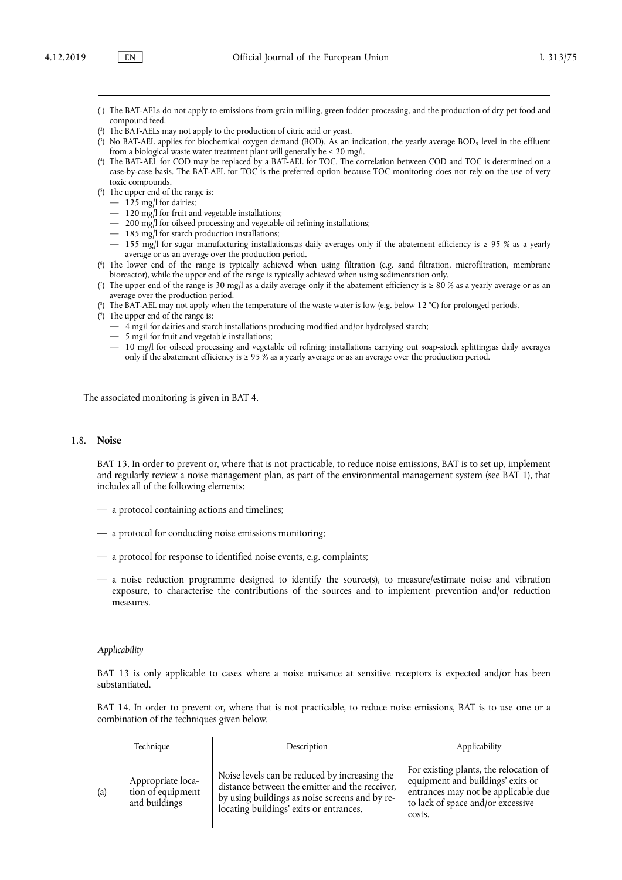- ( 1 ) The BAT-AELs do not apply to emissions from grain milling, green fodder processing, and the production of dry pet food and compound feed.
- ( 2 ) The BAT-AELs may not apply to the production of citric acid or yeast.
- ( 3 ) No BAT-AEL applies for biochemical oxygen demand (BOD). As an indication, the yearly average BOD5 level in the effluent from a biological waste water treatment plant will generally be  $\leq 20$  mg/l.
- ( 4 ) The BAT-AEL for COD may be replaced by a BAT-AEL for TOC. The correlation between COD and TOC is determined on a case-by-case basis. The BAT-AEL for TOC is the preferred option because TOC monitoring does not rely on the use of very toxic compounds.
- ( 5 ) The upper end of the range is:
	- $-125$  mg/l for dairies;
	- 120 mg/l for fruit and vegetable installations;
	- 200 mg/l for oilseed processing and vegetable oil refining installations;
	- 185 mg/l for starch production installations;
	- 155 mg/l for sugar manufacturing installations;as daily averages only if the abatement efficiency is ≥ 95 % as a yearly average or as an average over the production period.
- ( 6 ) The lower end of the range is typically achieved when using filtration (e.g. sand filtration, microfiltration, membrane bioreactor), while the upper end of the range is typically achieved when using sedimentation only.
- ( 7 ) The upper end of the range is 30 mg/l as a daily average only if the abatement efficiency is ≥ 80 % as a yearly average or as an average over the production period.
- ( 8 ) The BAT-AEL may not apply when the temperature of the waste water is low (e.g. below 12 °C) for prolonged periods.
- ( 9 ) The upper end of the range is:
	- $-4$  mg/l for dairies and starch installations producing modified and/or hydrolysed starch;
	- 5 mg/l for fruit and vegetable installations;
	- 10 mg/l for oilseed processing and vegetable oil refining installations carrying out soap-stock splitting;as daily averages only if the abatement efficiency is ≥ 95 % as a yearly average or as an average over the production period.

The associated monitoring is given in BAT 4.

#### 1.8. **Noise**

BAT 13. In order to prevent or, where that is not practicable, to reduce noise emissions, BAT is to set up, implement and regularly review a noise management plan, as part of the environmental management system (see BAT 1), that includes all of the following elements:

- a protocol containing actions and timelines;
- a protocol for conducting noise emissions monitoring;
- a protocol for response to identified noise events, e.g. complaints;
- a noise reduction programme designed to identify the source(s), to measure/estimate noise and vibration exposure, to characterise the contributions of the sources and to implement prevention and/or reduction measures.

#### *Applicability*

BAT 13 is only applicable to cases where a noise nuisance at sensitive receptors is expected and/or has been substantiated.

BAT 14. In order to prevent or, where that is not practicable, to reduce noise emissions, BAT is to use one or a combination of the techniques given below.

|     | Technique                                               | Description                                                                                                                                                                                  | Applicability                                                                                                                                                     |
|-----|---------------------------------------------------------|----------------------------------------------------------------------------------------------------------------------------------------------------------------------------------------------|-------------------------------------------------------------------------------------------------------------------------------------------------------------------|
| (a) | Appropriate loca-<br>tion of equipment<br>and buildings | Noise levels can be reduced by increasing the<br>distance between the emitter and the receiver,<br>by using buildings as noise screens and by re-<br>locating buildings' exits or entrances. | For existing plants, the relocation of<br>equipment and buildings' exits or<br>entrances may not be applicable due<br>to lack of space and/or excessive<br>costs. |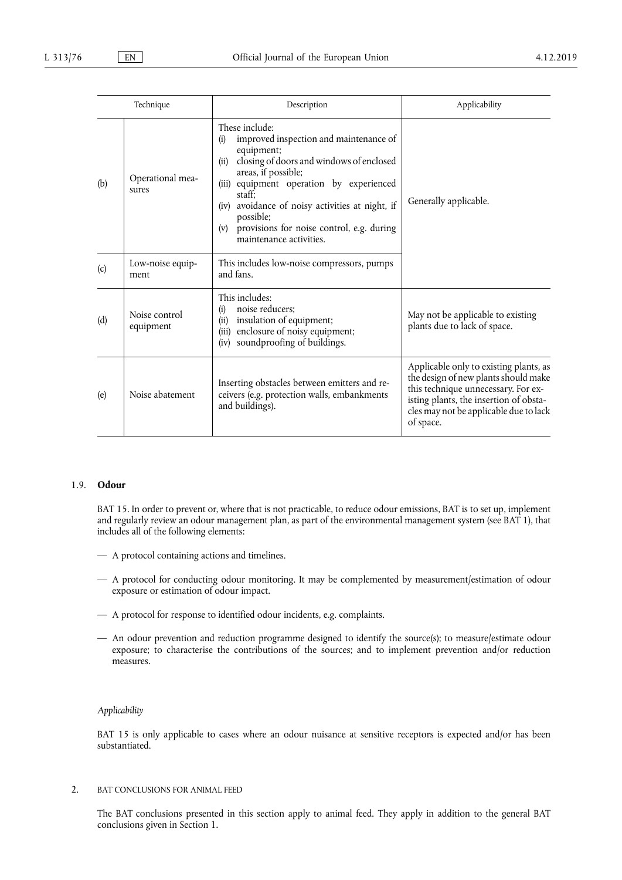|     | Technique                  | Description                                                                                                                                                                                                                                                                                                                                                   | Applicability                                                                                                                                                                                                          |
|-----|----------------------------|---------------------------------------------------------------------------------------------------------------------------------------------------------------------------------------------------------------------------------------------------------------------------------------------------------------------------------------------------------------|------------------------------------------------------------------------------------------------------------------------------------------------------------------------------------------------------------------------|
| (b) | Operational mea-<br>sures  | These include:<br>improved inspection and maintenance of<br>(i)<br>equipment;<br>closing of doors and windows of enclosed<br>(ii)<br>areas, if possible;<br>(iii) equipment operation by experienced<br>staff:<br>(iv) avoidance of noisy activities at night, if<br>possible;<br>provisions for noise control, e.g. during<br>(v)<br>maintenance activities. | Generally applicable.                                                                                                                                                                                                  |
| (c) | Low-noise equip-<br>ment   | This includes low-noise compressors, pumps<br>and fans.                                                                                                                                                                                                                                                                                                       |                                                                                                                                                                                                                        |
| (d) | Noise control<br>equipment | This includes:<br>noise reducers:<br>(i)<br>(ii) insulation of equipment;<br>(iii) enclosure of noisy equipment;<br>soundproofing of buildings.<br>(iv)                                                                                                                                                                                                       | May not be applicable to existing<br>plants due to lack of space.                                                                                                                                                      |
| (e) | Noise abatement            | Inserting obstacles between emitters and re-<br>ceivers (e.g. protection walls, embankments<br>and buildings).                                                                                                                                                                                                                                                | Applicable only to existing plants, as<br>the design of new plants should make<br>this technique unnecessary. For ex-<br>isting plants, the insertion of obsta-<br>cles may not be applicable due to lack<br>of space. |

### 1.9. **Odour**

BAT 15. In order to prevent or, where that is not practicable, to reduce odour emissions, BAT is to set up, implement and regularly review an odour management plan, as part of the environmental management system (see BAT 1), that includes all of the following elements:

- A protocol containing actions and timelines.
- A protocol for conducting odour monitoring. It may be complemented by measurement/estimation of odour exposure or estimation of odour impact.
- A protocol for response to identified odour incidents, e.g. complaints.
- An odour prevention and reduction programme designed to identify the source(s); to measure/estimate odour exposure; to characterise the contributions of the sources; and to implement prevention and/or reduction measures.

### *Applicability*

BAT 15 is only applicable to cases where an odour nuisance at sensitive receptors is expected and/or has been substantiated.

2. BAT CONCLUSIONS FOR ANIMAL FEED

The BAT conclusions presented in this section apply to animal feed. They apply in addition to the general BAT conclusions given in Section 1.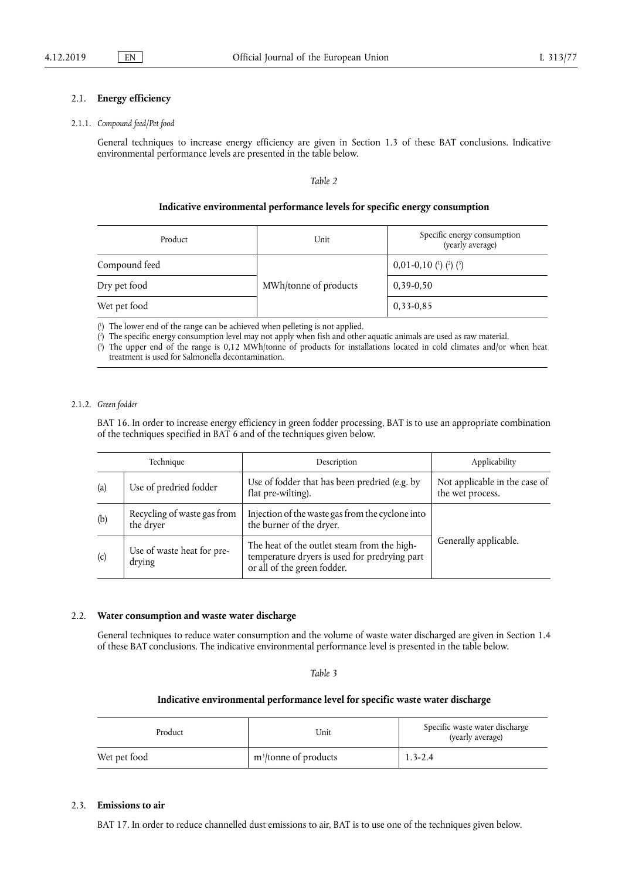#### 2.1. **Energy efficiency**

#### 2.1.1. *Compound feed/Pet food*

General techniques to increase energy efficiency are given in Section 1.3 of these BAT conclusions. Indicative environmental performance levels are presented in the table below.

*Table 2* 

#### **Indicative environmental performance levels for specific energy consumption**

| Product       | Unit                  | Specific energy consumption<br>(yearly average) |  |
|---------------|-----------------------|-------------------------------------------------|--|
| Compound feed | MWh/tonne of products | $0,01-0,10$ (1) (2) (3)                         |  |
| Dry pet food  |                       | $0,39-0,50$                                     |  |
| Wet pet food  |                       | $0,33-0,85$                                     |  |

( 1 ) The lower end of the range can be achieved when pelleting is not applied.

( 2 ) The specific energy consumption level may not apply when fish and other aquatic animals are used as raw material.

( 3 ) The upper end of the range is 0,12 MWh/tonne of products for installations located in cold climates and/or when heat treatment is used for Salmonella decontamination.

#### 2.1.2. *Green fodder*

BAT 16. In order to increase energy efficiency in green fodder processing, BAT is to use an appropriate combination of the techniques specified in BAT 6 and of the techniques given below.

| Technique |                                                                                               | Description                                                                                                                 | Applicability                                     |
|-----------|-----------------------------------------------------------------------------------------------|-----------------------------------------------------------------------------------------------------------------------------|---------------------------------------------------|
| (a)       | Use of fodder that has been predried (e.g. by<br>Use of predried fodder<br>flat pre-wilting). |                                                                                                                             | Not applicable in the case of<br>the wet process. |
| (b)       | Recycling of waste gas from<br>the dryer                                                      | Injection of the waste gas from the cyclone into<br>the burner of the dryer.                                                |                                                   |
| (c)       | Use of waste heat for pre-<br>drying                                                          | The heat of the outlet steam from the high-<br>temperature dryers is used for predrying part<br>or all of the green fodder. | Generally applicable.                             |

#### 2.2. **Water consumption and waste water discharge**

General techniques to reduce water consumption and the volume of waste water discharged are given in Section 1.4 of these BAT conclusions. The indicative environmental performance level is presented in the table below.

*Table 3* 

### **Indicative environmental performance level for specific waste water discharge**

| Product      | Unit                     | Specific waste water discharge<br>(yearly average) |
|--------------|--------------------------|----------------------------------------------------|
| Wet pet food | $m^3$ /tonne of products | $1.3 - 2.4$                                        |

### 2.3. **Emissions to air**

BAT 17. In order to reduce channelled dust emissions to air, BAT is to use one of the techniques given below.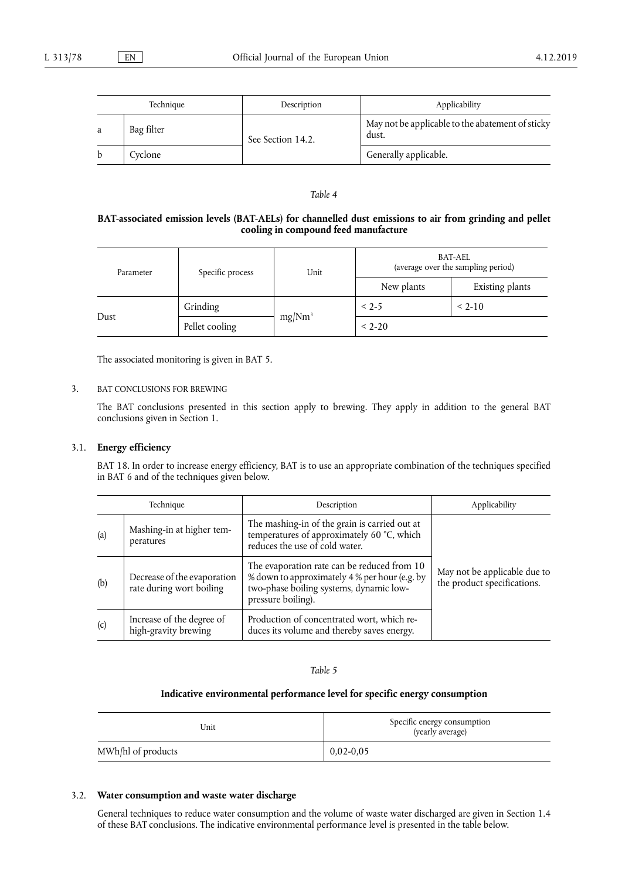|    | Technique  | Description       | Applicability                                             |
|----|------------|-------------------|-----------------------------------------------------------|
| a  | Bag filter | See Section 14.2. | May not be applicable to the abatement of sticky<br>dust. |
| b. | Cyclone    |                   | Generally applicable.                                     |

### **BAT-associated emission levels (BAT-AELs) for channelled dust emissions to air from grinding and pellet cooling in compound feed manufacture**

| Parameter | Specific process | Unit               | <b>BAT-AEL</b><br>(average over the sampling period) |                 |
|-----------|------------------|--------------------|------------------------------------------------------|-----------------|
|           |                  |                    | New plants                                           | Existing plants |
| Dust      | Grinding         |                    | $< 2-5$                                              | $< 2-10$        |
|           | Pellet cooling   | mg/Nm <sup>3</sup> | $< 2 - 20$                                           |                 |

The associated monitoring is given in BAT 5.

### 3. BAT CONCLUSIONS FOR BREWING

The BAT conclusions presented in this section apply to brewing. They apply in addition to the general BAT conclusions given in Section 1.

### 3.1. **Energy efficiency**

BAT 18. In order to increase energy efficiency, BAT is to use an appropriate combination of the techniques specified in BAT 6 and of the techniques given below.

| Technique |                                                         | Description                                                                                                                                                   | Applicability                                               |
|-----------|---------------------------------------------------------|---------------------------------------------------------------------------------------------------------------------------------------------------------------|-------------------------------------------------------------|
| (a)       | Mashing-in at higher tem-<br>peratures                  | The mashing-in of the grain is carried out at<br>temperatures of approximately 60 °C, which<br>reduces the use of cold water.                                 |                                                             |
| (b)       | Decrease of the evaporation<br>rate during wort boiling | The evaporation rate can be reduced from 10<br>% down to approximately 4 % per hour (e.g. by<br>two-phase boiling systems, dynamic low-<br>pressure boiling). | May not be applicable due to<br>the product specifications. |
| (c)       | Increase of the degree of<br>high-gravity brewing       | Production of concentrated wort, which re-<br>duces its volume and thereby saves energy.                                                                      |                                                             |

*Table 5* 

### **Indicative environmental performance level for specific energy consumption**

| Unit               | Specific energy consumption<br>(yearly average) |
|--------------------|-------------------------------------------------|
| MWh/hl of products | $0.02 - 0.05$                                   |

### 3.2. **Water consumption and waste water discharge**

General techniques to reduce water consumption and the volume of waste water discharged are given in Section 1.4 of these BAT conclusions. The indicative environmental performance level is presented in the table below.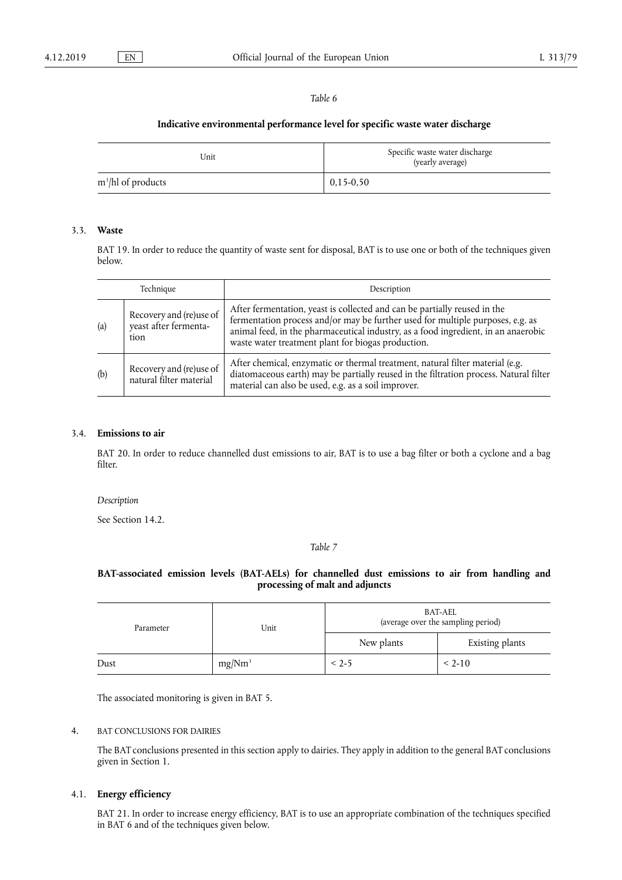### **Indicative environmental performance level for specific waste water discharge**

| Unit                  | Specific waste water discharge<br>(yearly average) |
|-----------------------|----------------------------------------------------|
| $m^3$ /hl of products | $0,15-0,50$                                        |

### 3.3. **Waste**

BAT 19. In order to reduce the quantity of waste sent for disposal, BAT is to use one or both of the techniques given below.

| Technique |                                                          | Description                                                                                                                                                                                                                                                                                             |
|-----------|----------------------------------------------------------|---------------------------------------------------------------------------------------------------------------------------------------------------------------------------------------------------------------------------------------------------------------------------------------------------------|
| (a)       | Recovery and (re)use of<br>yeast after fermenta-<br>tion | After fermentation, yeast is collected and can be partially reused in the<br>fermentation process and/or may be further used for multiple purposes, e.g. as<br>animal feed, in the pharmaceutical industry, as a food ingredient, in an anaerobic<br>waste water treatment plant for biogas production. |
| (b)       | Recovery and (re)use of<br>natural filter material       | After chemical, enzymatic or thermal treatment, natural filter material (e.g.<br>diatomaceous earth) may be partially reused in the filtration process. Natural filter<br>material can also be used, e.g. as a soil improver.                                                                           |

### 3.4. **Emissions to air**

BAT 20. In order to reduce channelled dust emissions to air, BAT is to use a bag filter or both a cyclone and a bag filter.

*Description* 

See Section 14.2.

#### *Table 7*

### **BAT-associated emission levels (BAT-AELs) for channelled dust emissions to air from handling and processing of malt and adjuncts**

| Parameter | Unit               | BAT-AEL<br>(average over the sampling period) |                 |  |
|-----------|--------------------|-----------------------------------------------|-----------------|--|
|           |                    | New plants                                    | Existing plants |  |
| Dust      | mg/Nm <sup>3</sup> | $< 2 - 5$                                     | $< 2-10$        |  |

The associated monitoring is given in BAT 5.

### 4. BAT CONCLUSIONS FOR DAIRIES

The BAT conclusions presented in this section apply to dairies. They apply in addition to the general BAT conclusions given in Section 1.

### 4.1. **Energy efficiency**

BAT 21. In order to increase energy efficiency, BAT is to use an appropriate combination of the techniques specified in BAT 6 and of the techniques given below.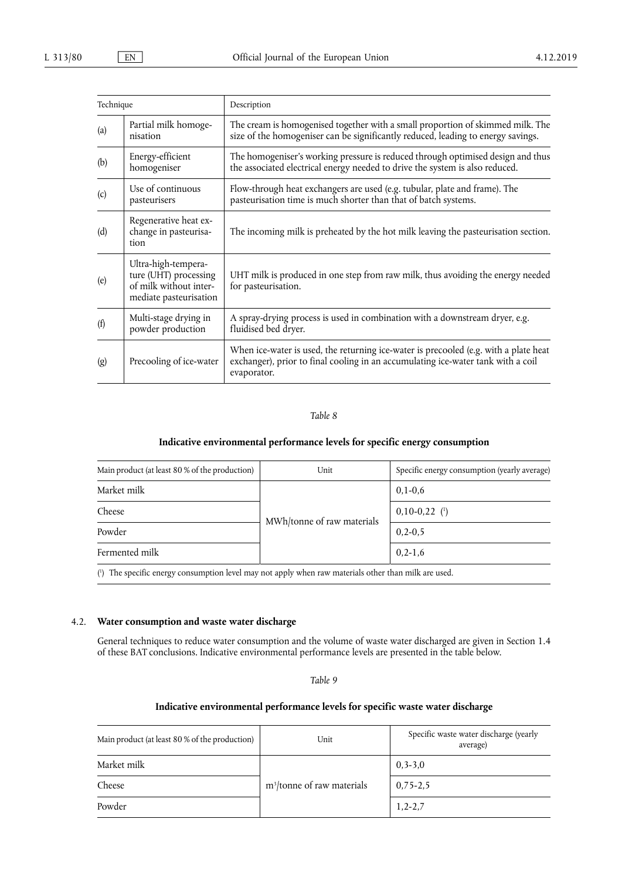| Technique |                                                                                                  | Description                                                                                                                                                                             |
|-----------|--------------------------------------------------------------------------------------------------|-----------------------------------------------------------------------------------------------------------------------------------------------------------------------------------------|
| (a)       | Partial milk homoge-<br>nisation                                                                 | The cream is homogenised together with a small proportion of skimmed milk. The<br>size of the homogeniser can be significantly reduced, leading to energy savings.                      |
| (b)       | Energy-efficient<br>homogeniser                                                                  | The homogeniser's working pressure is reduced through optimised design and thus<br>the associated electrical energy needed to drive the system is also reduced.                         |
| (c)       | Use of continuous<br>pasteurisers                                                                | Flow-through heat exchangers are used (e.g. tubular, plate and frame). The<br>pasteurisation time is much shorter than that of batch systems.                                           |
| (d)       | Regenerative heat ex-<br>change in pasteurisa-<br>tion                                           | The incoming milk is preheated by the hot milk leaving the pasteurisation section.                                                                                                      |
| (e)       | Ultra-high-tempera-<br>ture (UHT) processing<br>of milk without inter-<br>mediate pasteurisation | UHT milk is produced in one step from raw milk, thus avoiding the energy needed<br>for pasteurisation.                                                                                  |
| (f)       | Multi-stage drying in<br>powder production                                                       | A spray-drying process is used in combination with a downstream dryer, e.g.<br>fluidised bed dryer.                                                                                     |
| (g)       | Precooling of ice-water                                                                          | When ice-water is used, the returning ice-water is precooled (e.g. with a plate heat<br>exchanger), prior to final cooling in an accumulating ice-water tank with a coil<br>evaporator. |

### **Indicative environmental performance levels for specific energy consumption**

| Main product (at least 80 % of the production)                                                       | Unit                       | Specific energy consumption (yearly average) |
|------------------------------------------------------------------------------------------------------|----------------------------|----------------------------------------------|
| Market milk                                                                                          |                            | $0,1-0,6$                                    |
| Cheese                                                                                               | MWh/tonne of raw materials | $0,10-0,22$ (1)                              |
| Powder                                                                                               |                            | $0, 2 - 0, 5$                                |
| Fermented milk                                                                                       |                            | $0, 2 - 1, 6$                                |
| (1) The specific energy consumption level may not apply when raw materials other than milk are used. |                            |                                              |

### 4.2. **Water consumption and waste water discharge**

General techniques to reduce water consumption and the volume of waste water discharged are given in Section 1.4 of these BAT conclusions. Indicative environmental performance levels are presented in the table below.

### *Table 9*

### **Indicative environmental performance levels for specific waste water discharge**

| Main product (at least 80 % of the production) | Unit                                   | Specific waste water discharge (yearly<br>average) |
|------------------------------------------------|----------------------------------------|----------------------------------------------------|
| Market milk                                    |                                        | $0, 3 - 3, 0$                                      |
| Cheese                                         | m <sup>3</sup> /tonne of raw materials | $0,75-2,5$                                         |
| Powder                                         |                                        | $1,2-2,7$                                          |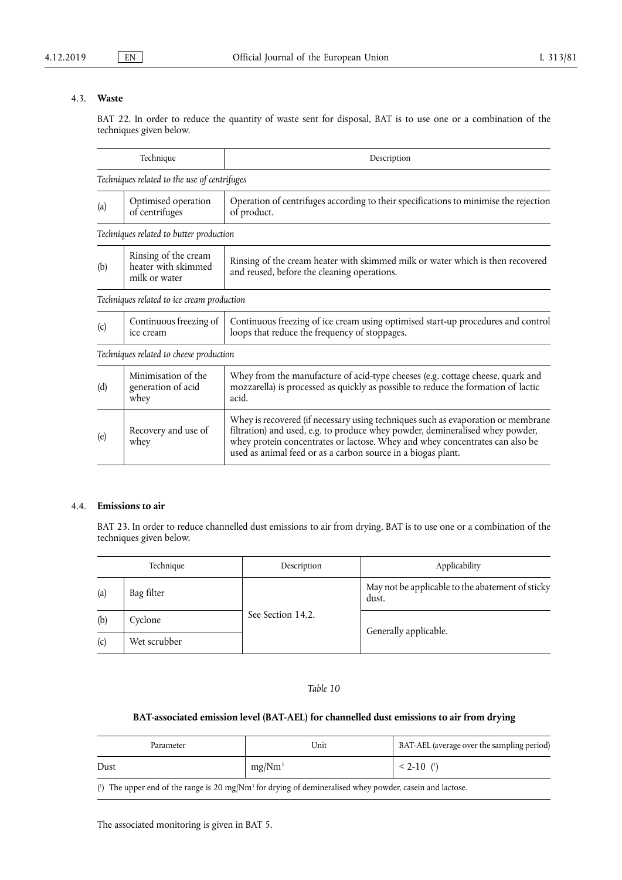## 4.3. **Waste**

BAT 22. In order to reduce the quantity of waste sent for disposal, BAT is to use one or a combination of the techniques given below.

|     | Technique                                                    | Description                                                                                                                                                                                                                                                                                                       |
|-----|--------------------------------------------------------------|-------------------------------------------------------------------------------------------------------------------------------------------------------------------------------------------------------------------------------------------------------------------------------------------------------------------|
|     | Techniques related to the use of centrifuges                 |                                                                                                                                                                                                                                                                                                                   |
| (a) | Optimised operation<br>of centrifuges                        | Operation of centrifuges according to their specifications to minimise the rejection<br>of product.                                                                                                                                                                                                               |
|     | Techniques related to butter production                      |                                                                                                                                                                                                                                                                                                                   |
| (b) | Rinsing of the cream<br>heater with skimmed<br>milk or water | Rinsing of the cream heater with skimmed milk or water which is then recovered<br>and reused, before the cleaning operations.                                                                                                                                                                                     |
|     | Techniques related to ice cream production                   |                                                                                                                                                                                                                                                                                                                   |
| (c) | Continuous freezing of<br>ice cream                          | Continuous freezing of ice cream using optimised start-up procedures and control<br>loops that reduce the frequency of stoppages.                                                                                                                                                                                 |
|     | Techniques related to cheese production                      |                                                                                                                                                                                                                                                                                                                   |
| (d) | Minimisation of the<br>generation of acid<br>whey            | Whey from the manufacture of acid-type cheeses (e.g. cottage cheese, quark and<br>mozzarella) is processed as quickly as possible to reduce the formation of lactic<br>acid.                                                                                                                                      |
| (e) | Recovery and use of<br>whey                                  | Whey is recovered (if necessary using techniques such as evaporation or membrane<br>filtration) and used, e.g. to produce whey powder, demineralised whey powder,<br>whey protein concentrates or lactose. Whey and whey concentrates can also be<br>used as animal feed or as a carbon source in a biogas plant. |

### 4.4. **Emissions to air**

BAT 23. In order to reduce channelled dust emissions to air from drying, BAT is to use one or a combination of the techniques given below.

|     | Technique    | Description       | Applicability                                             |
|-----|--------------|-------------------|-----------------------------------------------------------|
| (a) | Bag filter   | See Section 14.2. | May not be applicable to the abatement of sticky<br>dust. |
| (b) | Cyclone      |                   |                                                           |
| (c) | Wet scrubber |                   | Generally applicable.                                     |

*Table 10* 

## **BAT-associated emission level (BAT-AEL) for channelled dust emissions to air from drying**

| Parameter | 'Jnit              | BAT-AEL (average over the sampling period) |
|-----------|--------------------|--------------------------------------------|
| Dust      | mg/Nm <sup>3</sup> | $< 2 - 10$ ( <sup>1</sup> )                |

( $\beta$ ) The upper end of the range is 20 mg/Nm<sup>3</sup> for drying of demineralised whey powder, casein and lactose.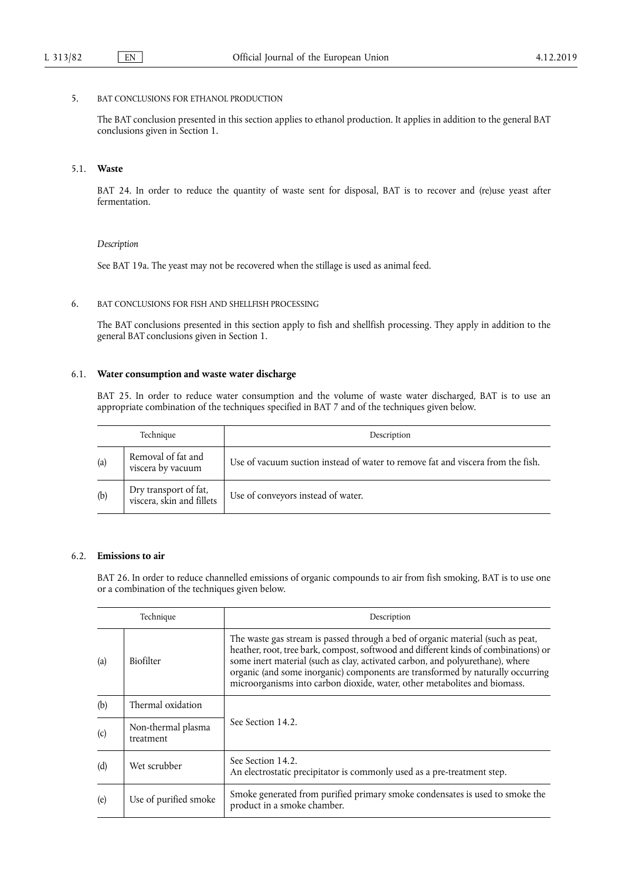#### 5. BAT CONCLUSIONS FOR ETHANOL PRODUCTION

The BAT conclusion presented in this section applies to ethanol production. It applies in addition to the general BAT conclusions given in Section 1.

### 5.1. **Waste**

BAT 24. In order to reduce the quantity of waste sent for disposal, BAT is to recover and (re)use yeast after fermentation.

#### *Description*

See BAT 19a. The yeast may not be recovered when the stillage is used as animal feed.

#### 6. BAT CONCLUSIONS FOR FISH AND SHELLFISH PROCESSING

The BAT conclusions presented in this section apply to fish and shellfish processing. They apply in addition to the general BAT conclusions given in Section 1.

#### 6.1. **Water consumption and waste water discharge**

BAT 25. In order to reduce water consumption and the volume of waste water discharged, BAT is to use an appropriate combination of the techniques specified in BAT 7 and of the techniques given below.

|     | Technique                                          | Description                                                                     |
|-----|----------------------------------------------------|---------------------------------------------------------------------------------|
| (a) | Removal of fat and<br>viscera by vacuum            | Use of vacuum suction instead of water to remove fat and viscera from the fish. |
| (b) | Dry transport of fat,<br>viscera, skin and fillets | Use of conveyors instead of water.                                              |

### 6.2. **Emissions to air**

BAT 26. In order to reduce channelled emissions of organic compounds to air from fish smoking, BAT is to use one or a combination of the techniques given below.

| Technique |                                 | Description                                                                                                                                                                                                                                                                                                                                                                                                            |  |
|-----------|---------------------------------|------------------------------------------------------------------------------------------------------------------------------------------------------------------------------------------------------------------------------------------------------------------------------------------------------------------------------------------------------------------------------------------------------------------------|--|
| (a)       | <b>Biofilter</b>                | The waste gas stream is passed through a bed of organic material (such as peat,<br>heather, root, tree bark, compost, softwood and different kinds of combinations) or<br>some inert material (such as clay, activated carbon, and polyurethane), where<br>organic (and some inorganic) components are transformed by naturally occurring<br>microorganisms into carbon dioxide, water, other metabolites and biomass. |  |
| (b)       | Thermal oxidation               |                                                                                                                                                                                                                                                                                                                                                                                                                        |  |
| (c)       | Non-thermal plasma<br>treatment | See Section 14.2.                                                                                                                                                                                                                                                                                                                                                                                                      |  |
| (d)       | Wet scrubber                    | See Section 14.2.<br>An electrostatic precipitator is commonly used as a pre-treatment step.                                                                                                                                                                                                                                                                                                                           |  |
| (e)       | Use of purified smoke           | Smoke generated from purified primary smoke condensates is used to smoke the<br>product in a smoke chamber.                                                                                                                                                                                                                                                                                                            |  |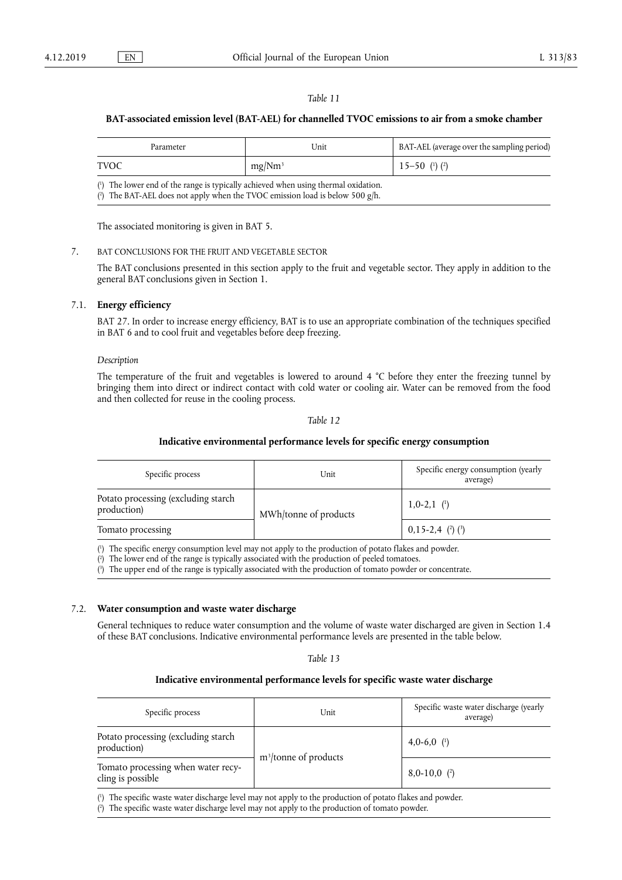### **BAT-associated emission level (BAT-AEL) for channelled TVOC emissions to air from a smoke chamber**

| Parameter                                                                          | Unit               | BAT-AEL (average over the sampling period)  |
|------------------------------------------------------------------------------------|--------------------|---------------------------------------------|
| <b>TVOC</b>                                                                        | mg/Nm <sup>3</sup> | $15 - 50$ ( <sup>1</sup> ) ( <sup>2</sup> ) |
| (1) The lower end of the range is typically achieved when using thermal oxidation. |                    |                                             |

( 2 ) The BAT-AEL does not apply when the TVOC emission load is below 500 g/h.

The associated monitoring is given in BAT 5.

#### 7. BAT CONCLUSIONS FOR THE FRUIT AND VEGETABLE SECTOR

The BAT conclusions presented in this section apply to the fruit and vegetable sector. They apply in addition to the general BAT conclusions given in Section 1.

#### 7.1. **Energy efficiency**

BAT 27. In order to increase energy efficiency, BAT is to use an appropriate combination of the techniques specified in BAT 6 and to cool fruit and vegetables before deep freezing.

#### *Description*

The temperature of the fruit and vegetables is lowered to around 4 °C before they enter the freezing tunnel by bringing them into direct or indirect contact with cold water or cooling air. Water can be removed from the food and then collected for reuse in the cooling process.

#### *Table 12*

#### **Indicative environmental performance levels for specific energy consumption**

| Specific process                                   | Unit                  | Specific energy consumption (yearly<br>average) |
|----------------------------------------------------|-----------------------|-------------------------------------------------|
| Potato processing (excluding starch<br>production) | MWh/tonne of products | $1,0-2,1$ ( <sup>1</sup> )                      |
| Tomato processing                                  |                       | $0,15-2,4$ (2) (3)                              |

( 1 ) The specific energy consumption level may not apply to the production of potato flakes and powder.

( 2 ) The lower end of the range is typically associated with the production of peeled tomatoes.

( 3 ) The upper end of the range is typically associated with the production of tomato powder or concentrate.

#### 7.2. **Water consumption and waste water discharge**

General techniques to reduce water consumption and the volume of waste water discharged are given in Section 1.4 of these BAT conclusions. Indicative environmental performance levels are presented in the table below.

#### *Table 13*

#### **Indicative environmental performance levels for specific waste water discharge**

| Specific process                                        | Unit                     | Specific waste water discharge (yearly<br>average) |
|---------------------------------------------------------|--------------------------|----------------------------------------------------|
| Potato processing (excluding starch<br>production)      |                          | 4,0-6,0 $(1)$                                      |
| Tomato processing when water recy-<br>cling is possible | $m^3$ /tonne of products | $8,0-10,0$ (2)                                     |

( 1 ) The specific waste water discharge level may not apply to the production of potato flakes and powder.

( 2 ) The specific waste water discharge level may not apply to the production of tomato powder.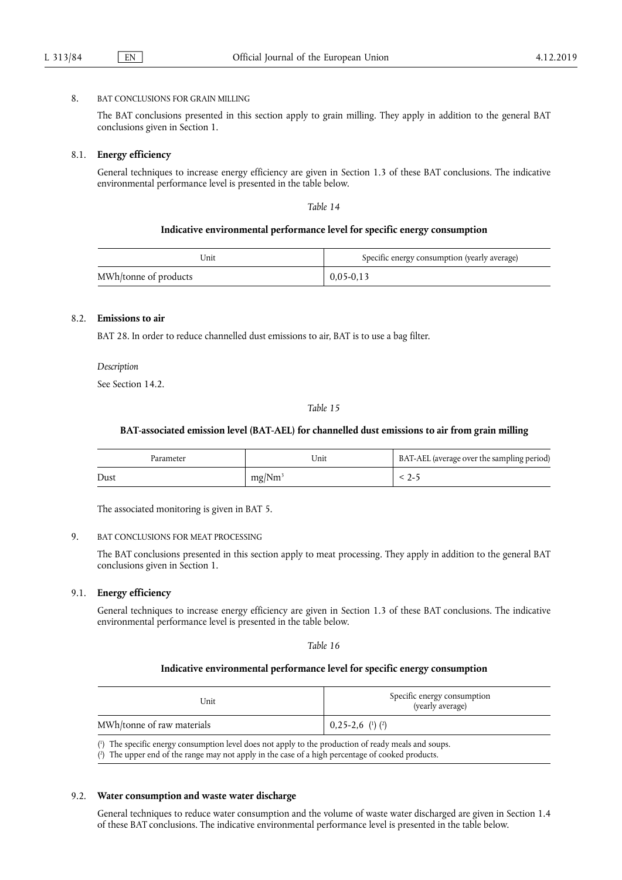#### 8. BAT CONCLUSIONS FOR GRAIN MILLING

The BAT conclusions presented in this section apply to grain milling. They apply in addition to the general BAT conclusions given in Section 1.

#### 8.1. **Energy efficiency**

General techniques to increase energy efficiency are given in Section 1.3 of these BAT conclusions. The indicative environmental performance level is presented in the table below.

*Table 14* 

#### **Indicative environmental performance level for specific energy consumption**

| Unit                  | Specific energy consumption (yearly average) |
|-----------------------|----------------------------------------------|
| MWh/tonne of products | $0,05-0,13$                                  |

### 8.2. **Emissions to air**

BAT 28. In order to reduce channelled dust emissions to air, BAT is to use a bag filter.

*Description* 

See Section 14.2.

*Table 15* 

#### **BAT-associated emission level (BAT-AEL) for channelled dust emissions to air from grain milling**

| Parameter | Jnit               | BAT-AEL (average over the sampling period) |
|-----------|--------------------|--------------------------------------------|
| Dust      | mg/Nm <sup>3</sup> |                                            |

The associated monitoring is given in BAT 5.

#### 9. BAT CONCLUSIONS FOR MEAT PROCESSING

The BAT conclusions presented in this section apply to meat processing. They apply in addition to the general BAT conclusions given in Section 1.

### 9.1. **Energy efficiency**

General techniques to increase energy efficiency are given in Section 1.3 of these BAT conclusions. The indicative environmental performance level is presented in the table below.

*Table 16* 

#### **Indicative environmental performance level for specific energy consumption**

| Unit                                                                                                 | Specific energy consumption<br>(yearly average) |  |
|------------------------------------------------------------------------------------------------------|-------------------------------------------------|--|
| MWh/tonne of raw materials                                                                           | $0,25-2,6$ ( <sup>1</sup> ) ( <sup>2</sup> )    |  |
| (1) The specific energy consumption level does not apply to the production of ready meals and soups. |                                                 |  |

( 2 ) The upper end of the range may not apply in the case of a high percentage of cooked products.

#### 9.2. **Water consumption and waste water discharge**

General techniques to reduce water consumption and the volume of waste water discharged are given in Section 1.4 of these BAT conclusions. The indicative environmental performance level is presented in the table below.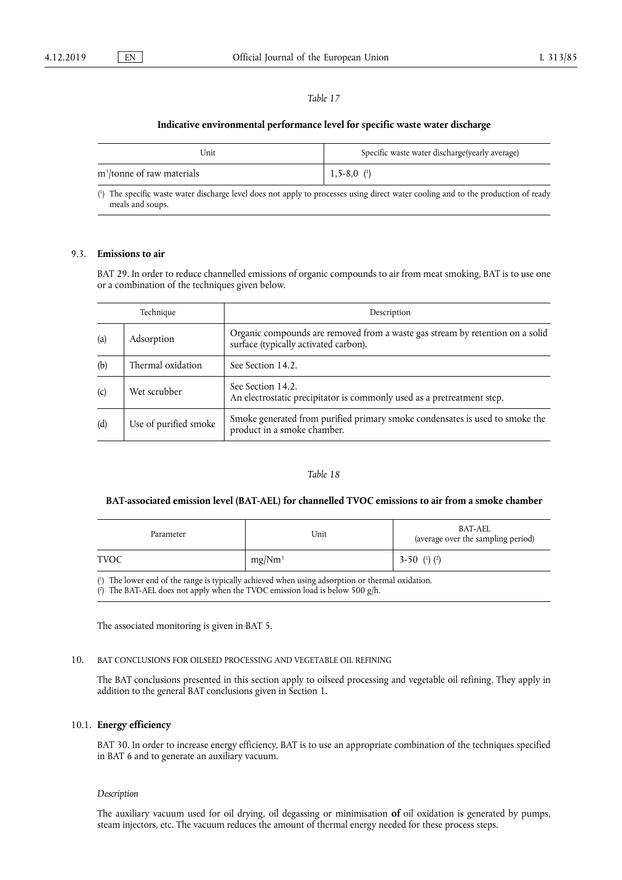#### **Indicative environmental performance level for specific waste water discharge**

| Unit                                   | Specific waste water discharge(yearly average) |
|----------------------------------------|------------------------------------------------|
| m <sup>3</sup> /tonne of raw materials | $1,5-8,0$ (1)                                  |

 $(^1$ ) The specific waste water discharge level does not apply to processes using direct water cooling and to the production of ready meals and soups.

#### 9.3. **Emissions to air**

BAT 29. In order to reduce channelled emissions of organic compounds to air from meat smoking, BAT is to use one or a combination of the techniques given below.

| Technique |                       | Description                                                                                                            |  |
|-----------|-----------------------|------------------------------------------------------------------------------------------------------------------------|--|
| (a)       | Adsorption            | Organic compounds are removed from a waste gas stream by retention on a solid<br>surface (typically activated carbon). |  |
| (b)       | Thermal oxidation     | See Section 14.2.                                                                                                      |  |
| (c)       | Wet scrubber          | See Section 14.2.<br>An electrostatic precipitator is commonly used as a pretreatment step.                            |  |
| (d)       | Use of purified smoke | Smoke generated from purified primary smoke condensates is used to smoke the<br>product in a smoke chamber.            |  |

### *Table 18*

#### **BAT-associated emission level (BAT-AEL) for channelled TVOC emissions to air from a smoke chamber**

| Parameter   | Unit               | <b>BAT-AEL</b><br>(average over the sampling period) |
|-------------|--------------------|------------------------------------------------------|
| <b>TVOC</b> | mg/Nm <sup>3</sup> | 3-50 $(1)$ $(2)$                                     |

( 1 ) The lower end of the range is typically achieved when using adsorption or thermal oxidation. ( 2 ) The BAT-AEL does not apply when the TVOC emission load is below 500 g/h.

The associated monitoring is given in BAT 5.

### 10. BAT CONCLUSIONS FOR OILSEED PROCESSING AND VEGETABLE OIL REFINING

The BAT conclusions presented in this section apply to oilseed processing and vegetable oil refining. They apply in addition to the general BAT conclusions given in Section 1.

### 10.1. **Energy efficiency**

BAT 30. In order to increase energy efficiency, BAT is to use an appropriate combination of the techniques specified in BAT 6 and to generate an auxiliary vacuum.

#### *Description*

The auxiliary vacuum used for oil drying, oil degassing or minimisation **of** oil oxidation is generated by pumps, steam injectors, etc. The vacuum reduces the amount of thermal energy needed for these process steps.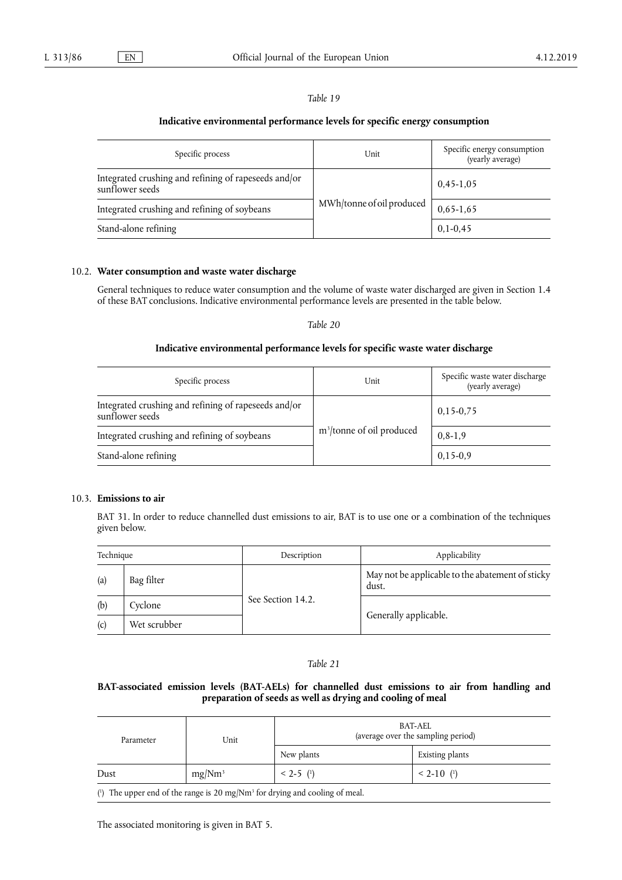### **Indicative environmental performance levels for specific energy consumption**

| Specific process                                                        | Unit                      | Specific energy consumption<br>(yearly average) |
|-------------------------------------------------------------------------|---------------------------|-------------------------------------------------|
| Integrated crushing and refining of rapeseeds and/or<br>sunflower seeds |                           | $0,45-1,05$                                     |
| Integrated crushing and refining of soybeans                            | MWh/tonne of oil produced | $0,65-1,65$                                     |
| Stand-alone refining                                                    |                           | $0,1-0,45$                                      |

#### 10.2. **Water consumption and waste water discharge**

General techniques to reduce water consumption and the volume of waste water discharged are given in Section 1.4 of these BAT conclusions. Indicative environmental performance levels are presented in the table below.

*Table 20* 

### **Indicative environmental performance levels for specific waste water discharge**

| Specific process                                                        | Unit                                  | Specific waste water discharge<br>(yearly average) |
|-------------------------------------------------------------------------|---------------------------------------|----------------------------------------------------|
| Integrated crushing and refining of rapeseeds and/or<br>sunflower seeds |                                       | $0,15-0,75$                                        |
| Integrated crushing and refining of soybeans                            | m <sup>3</sup> /tonne of oil produced | $0, 8 - 1, 9$                                      |
| Stand-alone refining                                                    |                                       | $0,15-0,9$                                         |

### 10.3. **Emissions to air**

BAT 31. In order to reduce channelled dust emissions to air, BAT is to use one or a combination of the techniques given below.

| Technique |              | Description       | Applicability                                             |  |
|-----------|--------------|-------------------|-----------------------------------------------------------|--|
| (a)       | Bag filter   |                   | May not be applicable to the abatement of sticky<br>dust. |  |
| (b)       | Cyclone      | See Section 14.2. |                                                           |  |
| (c)       | Wet scrubber |                   | Generally applicable.                                     |  |

### *Table 21*

### **BAT-associated emission levels (BAT-AELs) for channelled dust emissions to air from handling and preparation of seeds as well as drying and cooling of meal**

| Parameter                                                                                                                                                                                                                   | Unit               | BAT-AEL<br>(average over the sampling period) |                             |
|-----------------------------------------------------------------------------------------------------------------------------------------------------------------------------------------------------------------------------|--------------------|-----------------------------------------------|-----------------------------|
|                                                                                                                                                                                                                             |                    | New plants                                    | Existing plants             |
| Dust                                                                                                                                                                                                                        | mg/Nm <sup>3</sup> | $< 2-5$ ( <sup>1</sup> )                      | $< 2 - 10$ ( <sup>1</sup> ) |
| $(1)$ and $(1)$ and $(1)$ and $(1)$ and $(1)$ and $(1)$ and $(1)$ and $(1)$ and $(1)$ and $(1)$ and $(1)$ and $(1)$ and $(1)$ and $(1)$ and $(1)$ and $(1)$ and $(1)$ and $(1)$ and $(1)$ and $(1)$ and $(1)$ and $(1)$ and |                    |                                               |                             |

( 1 ) The upper end of the range is 20 mg/Nm3 for drying and cooling of meal.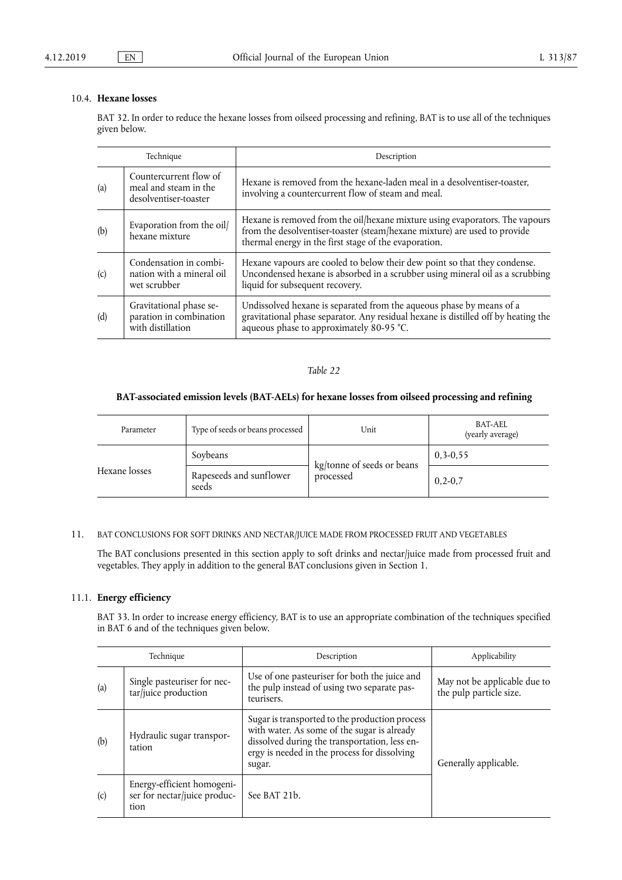### 10.4. **Hexane losses**

BAT 32. In order to reduce the hexane losses from oilseed processing and refining, BAT is to use all of the techniques given below.

| Technique |                                                                          | Description                                                                                                                                                                                                        |  |
|-----------|--------------------------------------------------------------------------|--------------------------------------------------------------------------------------------------------------------------------------------------------------------------------------------------------------------|--|
| (a)       | Countercurrent flow of<br>meal and steam in the<br>desolventiser-toaster | Hexane is removed from the hexane-laden meal in a desolventiser-toaster,<br>involving a countercurrent flow of steam and meal.                                                                                     |  |
| (b)       | Evaporation from the oil/<br>hexane mixture                              | Hexane is removed from the oil/hexane mixture using evaporators. The vapours<br>from the desolventiser-toaster (steam/hexane mixture) are used to provide<br>thermal energy in the first stage of the evaporation. |  |
| (c)       | Condensation in combi-<br>nation with a mineral oil<br>wet scrubber      | Hexane vapours are cooled to below their dew point so that they condense.<br>Uncondensed hexane is absorbed in a scrubber using mineral oil as a scrubbing<br>liquid for subsequent recovery.                      |  |
| (d)       | Gravitational phase se-<br>paration in combination<br>with distillation  | Undissolved hexane is separated from the aqueous phase by means of a<br>gravitational phase separator. Any residual hexane is distilled off by heating the<br>aqueous phase to approximately 80-95 °C.             |  |

### *Table 22*

### **BAT-associated emission levels (BAT-AELs) for hexane losses from oilseed processing and refining**

| Parameter     | Type of seeds or beans processed | Unit                                    | BAT-AEL<br>(yearly average) |
|---------------|----------------------------------|-----------------------------------------|-----------------------------|
|               | Soybeans                         |                                         | $0, 3 - 0, 55$              |
| Hexane losses | Rapeseeds and sunflower<br>seeds | kg/tonne of seeds or beans<br>processed | $0,2-0,7$                   |

### 11. BAT CONCLUSIONS FOR SOFT DRINKS AND NECTAR/JUICE MADE FROM PROCESSED FRUIT AND VEGETABLES

The BAT conclusions presented in this section apply to soft drinks and nectar/juice made from processed fruit and vegetables. They apply in addition to the general BAT conclusions given in Section 1.

### 11.1. **Energy efficiency**

BAT 33. In order to increase energy efficiency, BAT is to use an appropriate combination of the techniques specified in BAT 6 and of the techniques given below.

| Technique |                                                                    | Description                                                                                                                                                                                              | Applicability                                           |
|-----------|--------------------------------------------------------------------|----------------------------------------------------------------------------------------------------------------------------------------------------------------------------------------------------------|---------------------------------------------------------|
| (a)       | Single pasteuriser for nec-<br>$\ar$ juice production              | Use of one pasteuriser for both the juice and<br>the pulp instead of using two separate pas-<br>teurisers.                                                                                               | May not be applicable due to<br>the pulp particle size. |
| (b)       | Hydraulic sugar transpor-<br>tation                                | Sugar is transported to the production process<br>with water. As some of the sugar is already<br>dissolved during the transportation, less en-<br>ergy is needed in the process for dissolving<br>sugar. | Generally applicable.                                   |
| (c)       | Energy-efficient homogeni-<br>ser for nectar/juice produc-<br>tion | See BAT 21b.                                                                                                                                                                                             |                                                         |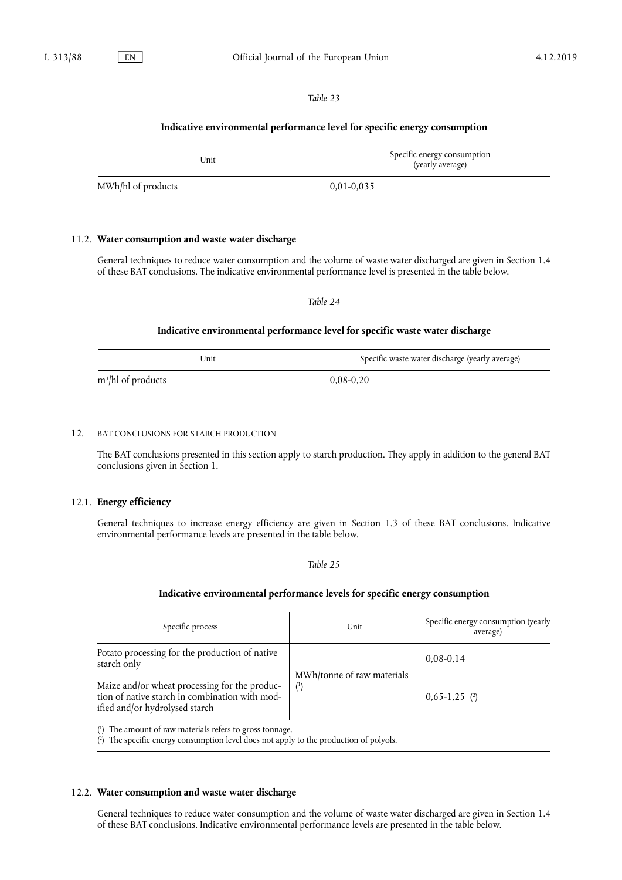#### **Indicative environmental performance level for specific energy consumption**

| Unit               | Specific energy consumption<br>(yearly average) |
|--------------------|-------------------------------------------------|
| MWh/hl of products | $0.01 - 0.035$                                  |

#### 11.2. **Water consumption and waste water discharge**

General techniques to reduce water consumption and the volume of waste water discharged are given in Section 1.4 of these BAT conclusions. The indicative environmental performance level is presented in the table below.

#### *Table 24*

#### **Indicative environmental performance level for specific waste water discharge**

| Jnit                  | Specific waste water discharge (yearly average) |
|-----------------------|-------------------------------------------------|
| $m^3$ /hl of products | $0.08 - 0.20$                                   |

### 12. BAT CONCLUSIONS FOR STARCH PRODUCTION

The BAT conclusions presented in this section apply to starch production. They apply in addition to the general BAT conclusions given in Section 1.

### 12.1. **Energy efficiency**

General techniques to increase energy efficiency are given in Section 1.3 of these BAT conclusions. Indicative environmental performance levels are presented in the table below.

*Table 25* 

#### **Indicative environmental performance levels for specific energy consumption**

| Specific process                                                                                                                  | Unit                              | Specific energy consumption (yearly<br>average) |
|-----------------------------------------------------------------------------------------------------------------------------------|-----------------------------------|-------------------------------------------------|
| Potato processing for the production of native<br>starch only                                                                     |                                   | $0,08-0,14$                                     |
| Maize and/or wheat processing for the produc-<br>tion of native starch in combination with mod-<br>ified and/or hydrolysed starch | MWh/tonne of raw materials<br>(1) | $0,65-1,25$ (2)                                 |

( 1 ) The amount of raw materials refers to gross tonnage.

( 2 ) The specific energy consumption level does not apply to the production of polyols.

#### 12.2. **Water consumption and waste water discharge**

General techniques to reduce water consumption and the volume of waste water discharged are given in Section 1.4 of these BAT conclusions. Indicative environmental performance levels are presented in the table below.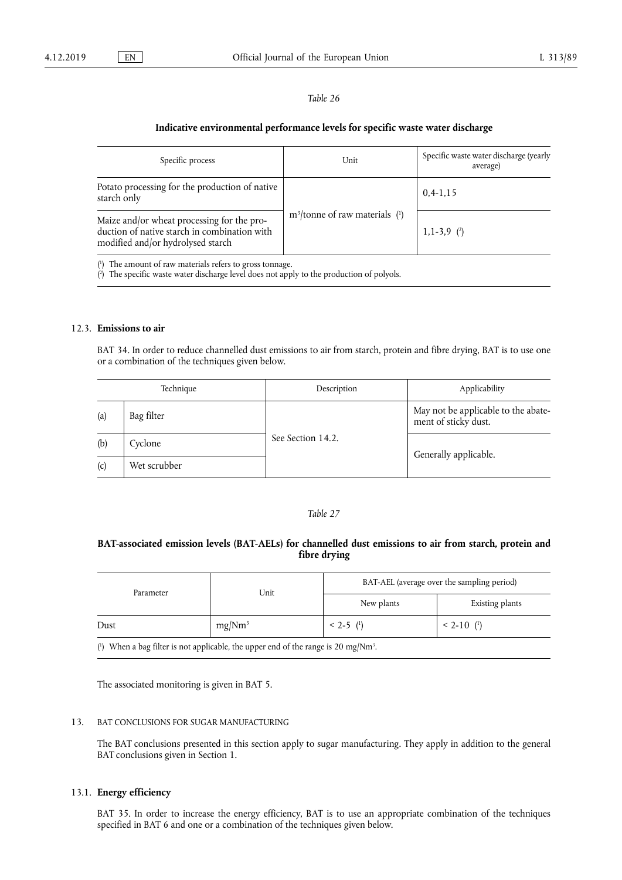#### **Indicative environmental performance levels for specific waste water discharge**

| Specific process                                                                                                                | Unit                              | Specific waste water discharge (yearly<br>average) |
|---------------------------------------------------------------------------------------------------------------------------------|-----------------------------------|----------------------------------------------------|
| Potato processing for the production of native<br>starch only                                                                   |                                   | $0,4-1,15$                                         |
| Maize and/or wheat processing for the pro-<br>duction of native starch in combination with<br>modified and/or hydrolysed starch | $m^3$ /tonne of raw materials (1) | $1, 1-3, 9$ (2)                                    |

( 1 ) The amount of raw materials refers to gross tonnage.

( 2 ) The specific waste water discharge level does not apply to the production of polyols.

#### 12.3. **Emissions to air**

BAT 34. In order to reduce channelled dust emissions to air from starch, protein and fibre drying, BAT is to use one or a combination of the techniques given below.

| Technique |              | Description       | Applicability                                               |
|-----------|--------------|-------------------|-------------------------------------------------------------|
| (a)       | Bag filter   |                   | May not be applicable to the abate-<br>ment of sticky dust. |
| (b)       | Cyclone      | See Section 14.2. |                                                             |
| (c)       | Wet scrubber |                   | Generally applicable.                                       |

#### *Table 27*

### **BAT-associated emission levels (BAT-AELs) for channelled dust emissions to air from starch, protein and fibre drying**

| Parameter                                                                                                                                                                                                                                                                                                           | Unit      | BAT-AEL (average over the sampling period) |                             |
|---------------------------------------------------------------------------------------------------------------------------------------------------------------------------------------------------------------------------------------------------------------------------------------------------------------------|-----------|--------------------------------------------|-----------------------------|
|                                                                                                                                                                                                                                                                                                                     |           | New plants                                 | Existing plants             |
| Dust                                                                                                                                                                                                                                                                                                                | $mg/Nm^3$ | $< 2-5$ ( <sup>1</sup> )                   | $< 2 - 10$ ( <sup>1</sup> ) |
| $\frac{1}{2}$ $\frac{1}{2}$ $\frac{1}{2}$ $\frac{1}{2}$ $\frac{1}{2}$ $\frac{1}{2}$ $\frac{1}{2}$ $\frac{1}{2}$ $\frac{1}{2}$ $\frac{1}{2}$ $\frac{1}{2}$ $\frac{1}{2}$ $\frac{1}{2}$ $\frac{1}{2}$ $\frac{1}{2}$ $\frac{1}{2}$ $\frac{1}{2}$ $\frac{1}{2}$ $\frac{1}{2}$ $\frac{1}{2}$ $\frac{1}{2}$ $\frac{1}{2}$ |           |                                            |                             |

( $\degree$ ) When a bag filter is not applicable, the upper end of the range is 20 mg/Nm<sup>3</sup>.

The associated monitoring is given in BAT 5.

#### 13. BAT CONCLUSIONS FOR SUGAR MANUFACTURING

The BAT conclusions presented in this section apply to sugar manufacturing. They apply in addition to the general BAT conclusions given in Section 1.

#### 13.1. **Energy efficiency**

BAT 35. In order to increase the energy efficiency, BAT is to use an appropriate combination of the techniques specified in BAT 6 and one or a combination of the techniques given below.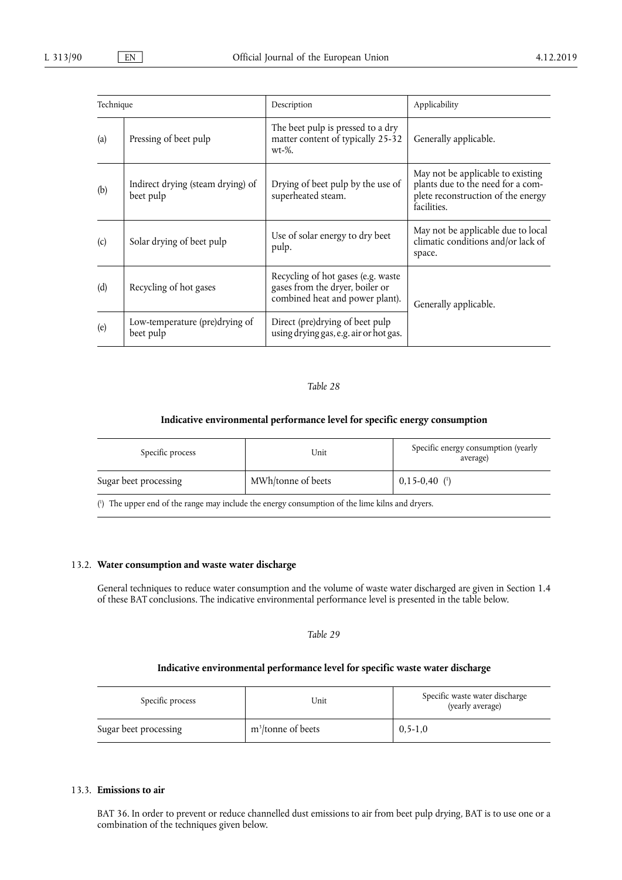| Technique |                                                | Description                                                                                              | Applicability                                                                                                               |
|-----------|------------------------------------------------|----------------------------------------------------------------------------------------------------------|-----------------------------------------------------------------------------------------------------------------------------|
| (a)       | Pressing of beet pulp                          | The beet pulp is pressed to a dry<br>matter content of typically 25-32<br>$wt-%$ .                       | Generally applicable.                                                                                                       |
| (b)       | Indirect drying (steam drying) of<br>beet pulp | Drying of beet pulp by the use of<br>superheated steam.                                                  | May not be applicable to existing<br>plants due to the need for a com-<br>plete reconstruction of the energy<br>facilities. |
| (c)       | Solar drying of beet pulp                      | Use of solar energy to dry beet<br>pulp.                                                                 | May not be applicable due to local<br>climatic conditions and/or lack of<br>space.                                          |
| (d)       | Recycling of hot gases                         | Recycling of hot gases (e.g. waste<br>gases from the dryer, boiler or<br>combined heat and power plant). | Generally applicable.                                                                                                       |
| (e)       | Low-temperature (pre)drying of<br>beet pulp    | Direct (pre)drying of beet pulp<br>using drying gas, e.g. air or hot gas.                                |                                                                                                                             |

### **Indicative environmental performance level for specific energy consumption**

| Specific process      | Unit               | Specific energy consumption (yearly<br>average) |
|-----------------------|--------------------|-------------------------------------------------|
| Sugar beet processing | MWh/tonne of beets | $0,15-0,40$ ( <sup>1</sup> )                    |

( 1 ) The upper end of the range may include the energy consumption of the lime kilns and dryers.

### 13.2. **Water consumption and waste water discharge**

General techniques to reduce water consumption and the volume of waste water discharged are given in Section 1.4 of these BAT conclusions. The indicative environmental performance level is presented in the table below.

*Table 29* 

### **Indicative environmental performance level for specific waste water discharge**

| Specific process      | Unit                           | Specific waste water discharge<br>(yearly average) |
|-----------------------|--------------------------------|----------------------------------------------------|
| Sugar beet processing | m <sup>3</sup> /tonne of beets | $0.5 - 1.0$                                        |

### 13.3. **Emissions to air**

BAT 36. In order to prevent or reduce channelled dust emissions to air from beet pulp drying, BAT is to use one or a combination of the techniques given below.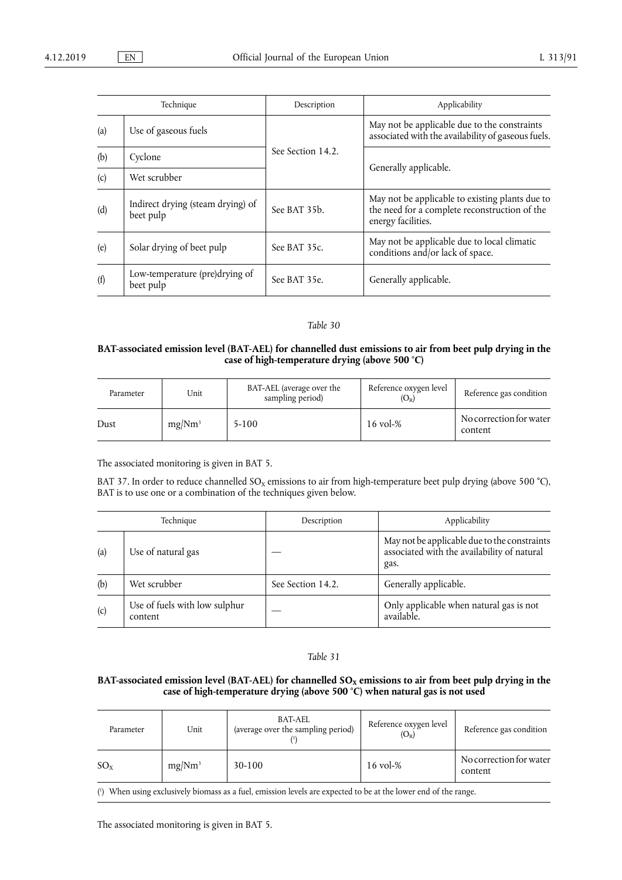| Technique |                                                | Description       | Applicability                                                                                                          |
|-----------|------------------------------------------------|-------------------|------------------------------------------------------------------------------------------------------------------------|
| (a)       | Use of gaseous fuels                           |                   | May not be applicable due to the constraints<br>associated with the availability of gaseous fuels.                     |
| (b)       | Cyclone                                        | See Section 14.2. |                                                                                                                        |
| (c)       | Wet scrubber                                   |                   | Generally applicable.                                                                                                  |
| (d)       | Indirect drying (steam drying) of<br>beet pulp | See BAT 35b.      | May not be applicable to existing plants due to<br>the need for a complete reconstruction of the<br>energy facilities. |
| (e)       | Solar drying of beet pulp                      | See BAT 35c.      | May not be applicable due to local climatic<br>conditions and/or lack of space.                                        |
| (f)       | Low-temperature (pre)drying of<br>beet pulp    | See BAT 35e.      | Generally applicable.                                                                                                  |

### **BAT-associated emission level (BAT-AEL) for channelled dust emissions to air from beet pulp drying in the case of high-temperature drying (above 500 °C)**

| Parameter | Unit               | BAT-AEL (average over the<br>sampling period) | Reference oxygen level<br>$(\rm O_{\rm R})$ | Reference gas condition            |
|-----------|--------------------|-----------------------------------------------|---------------------------------------------|------------------------------------|
| Dust      | mg/Nm <sup>3</sup> | $5 - 100$                                     | $16 \,\mathrm{vol}_{\odot}\%$               | No correction for water<br>content |

The associated monitoring is given in BAT 5.

BAT 37. In order to reduce channelled  $SO_x$  emissions to air from high-temperature beet pulp drying (above 500 °C), BAT is to use one or a combination of the techniques given below.

| Technique |                                          | Description       | Applicability                                                                                       |
|-----------|------------------------------------------|-------------------|-----------------------------------------------------------------------------------------------------|
| (a)       | Use of natural gas                       |                   | May not be applicable due to the constraints<br>associated with the availability of natural<br>gas. |
| (b)       | Wet scrubber                             | See Section 14.2. | Generally applicable.                                                                               |
| (c)       | Use of fuels with low sulphur<br>content |                   | Only applicable when natural gas is not<br>available.                                               |

### *Table 31*

### BAT-associated emission level (BAT-AEL) for channelled SO<sub>x</sub> emissions to air from beet pulp drying in the **case of high-temperature drying (above 500 °C) when natural gas is not used**

| Parameter | Unit               | BAT-AEL<br>(average over the sampling period)                                                                   | Reference oxygen level<br>$(O_R)$ | Reference gas condition            |
|-----------|--------------------|-----------------------------------------------------------------------------------------------------------------|-----------------------------------|------------------------------------|
| $SO_{x}$  | mg/Nm <sup>3</sup> | $30-100$                                                                                                        | $16 \text{ vol-} \%$              | No correction for water<br>content |
|           |                    | (1) When using exclusively biomass as a fuel, emission levels are expected to be at the lower end of the range. |                                   |                                    |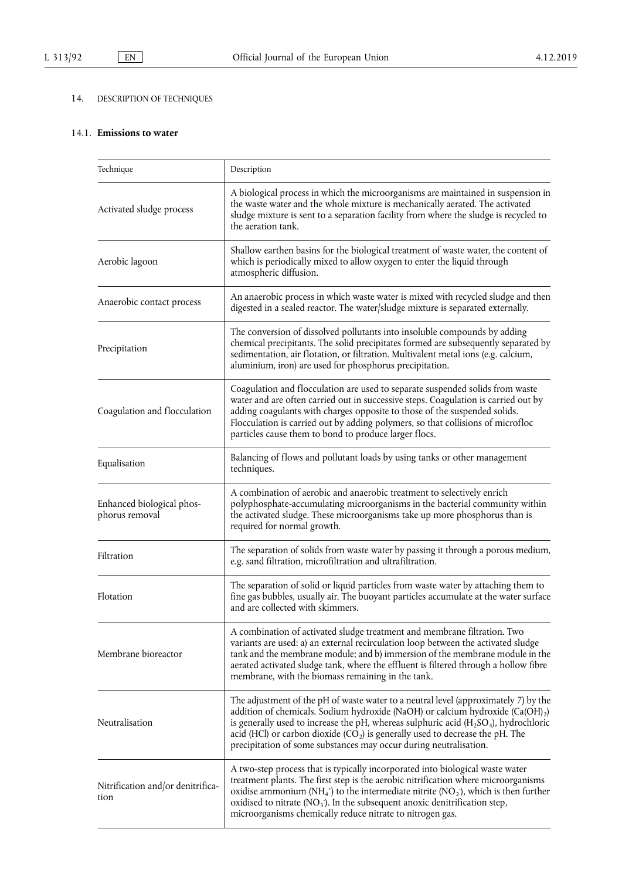# 14. DESCRIPTION OF TECHNIQUES

## 14.1. **Emissions to water**

| Technique                                                                                                                                                                                                                                                                                                                                                                                                                                                                                | Description                                                                                                                                                                                                                                                                                                                                                                                                               |  |
|------------------------------------------------------------------------------------------------------------------------------------------------------------------------------------------------------------------------------------------------------------------------------------------------------------------------------------------------------------------------------------------------------------------------------------------------------------------------------------------|---------------------------------------------------------------------------------------------------------------------------------------------------------------------------------------------------------------------------------------------------------------------------------------------------------------------------------------------------------------------------------------------------------------------------|--|
| Activated sludge process                                                                                                                                                                                                                                                                                                                                                                                                                                                                 | A biological process in which the microorganisms are maintained in suspension in<br>the waste water and the whole mixture is mechanically aerated. The activated<br>sludge mixture is sent to a separation facility from where the sludge is recycled to<br>the aeration tank.                                                                                                                                            |  |
| Aerobic lagoon                                                                                                                                                                                                                                                                                                                                                                                                                                                                           | Shallow earthen basins for the biological treatment of waste water, the content of<br>which is periodically mixed to allow oxygen to enter the liquid through<br>atmospheric diffusion.                                                                                                                                                                                                                                   |  |
| Anaerobic contact process                                                                                                                                                                                                                                                                                                                                                                                                                                                                | An anaerobic process in which waste water is mixed with recycled sludge and then<br>digested in a sealed reactor. The water/sludge mixture is separated externally.                                                                                                                                                                                                                                                       |  |
| Precipitation                                                                                                                                                                                                                                                                                                                                                                                                                                                                            | The conversion of dissolved pollutants into insoluble compounds by adding<br>chemical precipitants. The solid precipitates formed are subsequently separated by<br>sedimentation, air flotation, or filtration. Multivalent metal ions (e.g. calcium,<br>aluminium, iron) are used for phosphorus precipitation.                                                                                                          |  |
| Coagulation and flocculation                                                                                                                                                                                                                                                                                                                                                                                                                                                             | Coagulation and flocculation are used to separate suspended solids from waste<br>water and are often carried out in successive steps. Coagulation is carried out by<br>adding coagulants with charges opposite to those of the suspended solids.<br>Flocculation is carried out by adding polymers, so that collisions of microfloc<br>particles cause them to bond to produce larger flocs.                              |  |
| Equalisation                                                                                                                                                                                                                                                                                                                                                                                                                                                                             | Balancing of flows and pollutant loads by using tanks or other management<br>techniques.                                                                                                                                                                                                                                                                                                                                  |  |
| Enhanced biological phos-<br>phorus removal                                                                                                                                                                                                                                                                                                                                                                                                                                              | A combination of aerobic and anaerobic treatment to selectively enrich<br>polyphosphate-accumulating microorganisms in the bacterial community within<br>the activated sludge. These microorganisms take up more phosphorus than is<br>required for normal growth.                                                                                                                                                        |  |
| Filtration                                                                                                                                                                                                                                                                                                                                                                                                                                                                               | The separation of solids from waste water by passing it through a porous medium,<br>e.g. sand filtration, microfiltration and ultrafiltration.                                                                                                                                                                                                                                                                            |  |
| Flotation                                                                                                                                                                                                                                                                                                                                                                                                                                                                                | The separation of solid or liquid particles from waste water by attaching them to<br>fine gas bubbles, usually air. The buoyant particles accumulate at the water surface<br>and are collected with skimmers.                                                                                                                                                                                                             |  |
| Membrane bioreactor                                                                                                                                                                                                                                                                                                                                                                                                                                                                      | A combination of activated sludge treatment and membrane filtration. Two<br>variants are used: a) an external recirculation loop between the activated sludge<br>tank and the membrane module; and b) immersion of the membrane module in the<br>aerated activated sludge tank, where the effluent is filtered through a hollow fibre<br>membrane, with the biomass remaining in the tank.                                |  |
| Neutralisation                                                                                                                                                                                                                                                                                                                                                                                                                                                                           | The adjustment of the pH of waste water to a neutral level (approximately 7) by the<br>addition of chemicals. Sodium hydroxide (NaOH) or calcium hydroxide $(Ca(OH)_2)$<br>is generally used to increase the pH, whereas sulphuric acid $(H_2SO_4)$ , hydrochloric<br>acid (HCl) or carbon dioxide $(CO2)$ is generally used to decrease the pH. The<br>precipitation of some substances may occur during neutralisation. |  |
| A two-step process that is typically incorporated into biological waste water<br>treatment plants. The first step is the aerobic nitrification where microorganisms<br>Nitrification and/or denitrifica-<br>oxidise ammonium (NH <sub>4</sub> <sup>+</sup> ) to the intermediate nitrite (NO <sub>2</sub> ), which is then further<br>tion<br>oxidised to nitrate $(NO_3)$ . In the subsequent anoxic denitrification step,<br>microorganisms chemically reduce nitrate to nitrogen gas. |                                                                                                                                                                                                                                                                                                                                                                                                                           |  |